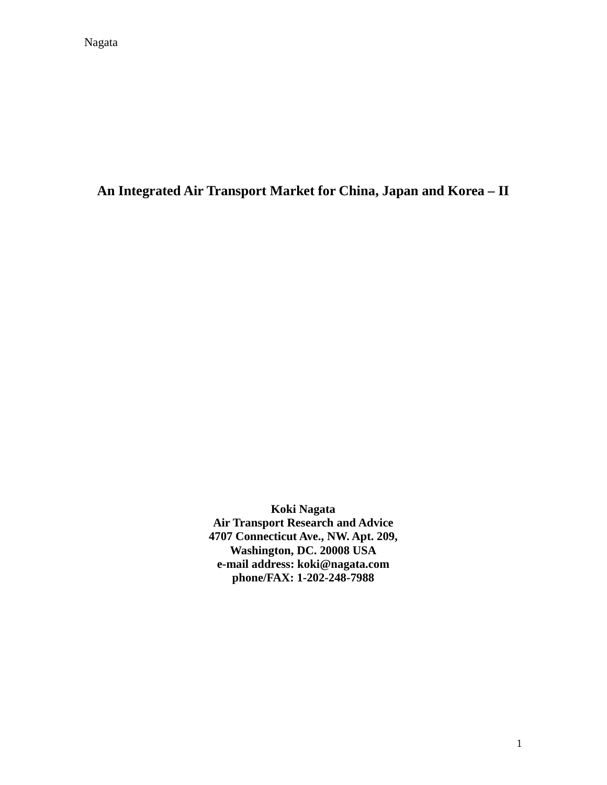**An Integrated Air Transport Market for China, Japan and Korea – II** 

**Koki Nagata Air Transport Research and Advice 4707 Connecticut Ave., NW. Apt. 209, Washington, DC. 20008 USA e-mail address: koki@nagata.com phone/FAX: 1-202-248-7988**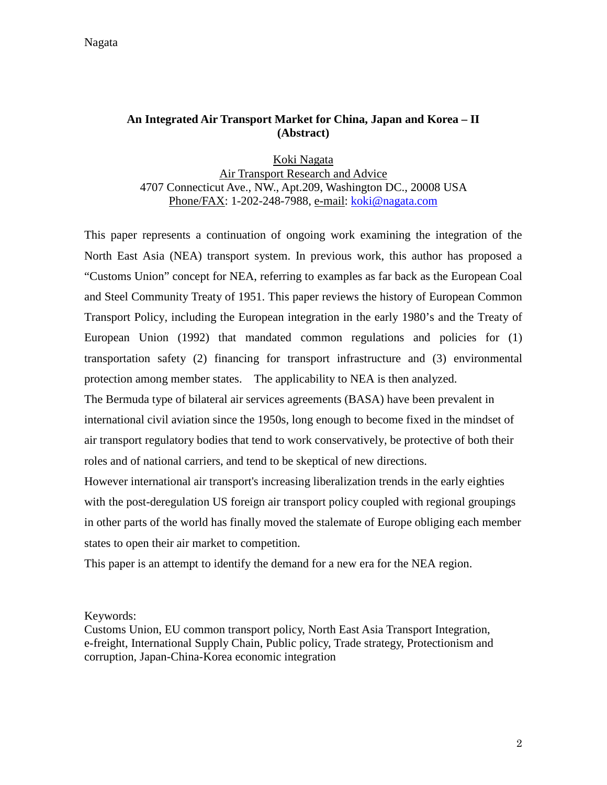Nagata

#### **An Integrated Air Transport Market for China, Japan and Korea – II (Abstract)**

Koki Nagata Air Transport Research and Advice 4707 Connecticut Ave., NW., Apt.209, Washington DC., 20008 USA Phone/FAX: 1-202-248-7988, e-mail: koki@nagata.com

This paper represents a continuation of ongoing work examining the integration of the North East Asia (NEA) transport system. In previous work, this author has proposed a "Customs Union" concept for NEA, referring to examples as far back as the European Coal and Steel Community Treaty of 1951. This paper reviews the history of European Common Transport Policy, including the European integration in the early 1980's and the Treaty of European Union (1992) that mandated common regulations and policies for (1) transportation safety (2) financing for transport infrastructure and (3) environmental protection among member states. The applicability to NEA is then analyzed.

The Bermuda type of bilateral air services agreements (BASA) have been prevalent in international civil aviation since the 1950s, long enough to become fixed in the mindset of air transport regulatory bodies that tend to work conservatively, be protective of both their roles and of national carriers, and tend to be skeptical of new directions.

However international air transport's increasing liberalization trends in the early eighties with the post-deregulation US foreign air transport policy coupled with regional groupings in other parts of the world has finally moved the stalemate of Europe obliging each member states to open their air market to competition.

This paper is an attempt to identify the demand for a new era for the NEA region.

Keywords:

Customs Union, EU common transport policy, North East Asia Transport Integration, e-freight, International Supply Chain, Public policy, Trade strategy, Protectionism and corruption, Japan-China-Korea economic integration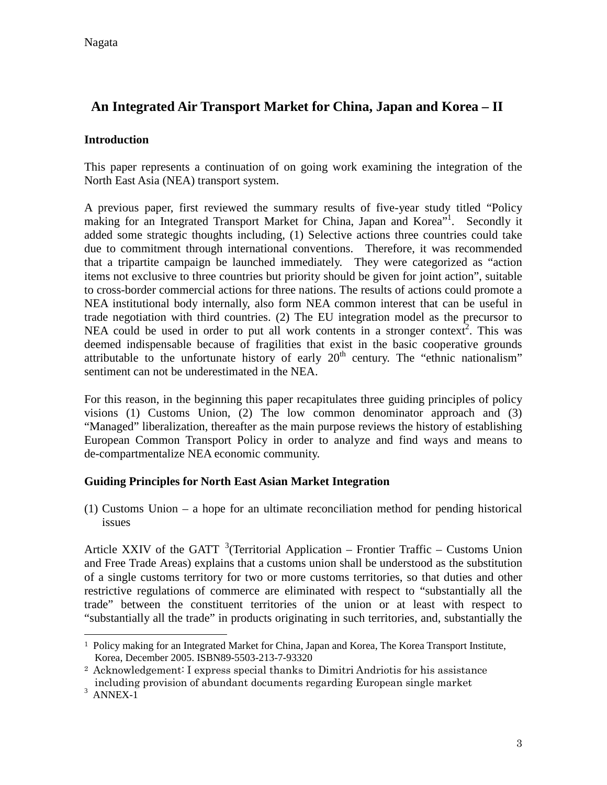# **An Integrated Air Transport Market for China, Japan and Korea – II**

#### **Introduction**

This paper represents a continuation of on going work examining the integration of the North East Asia (NEA) transport system.

A previous paper, first reviewed the summary results of five-year study titled "Policy making for an Integrated Transport Market for China, Japan and Korea"<sup>1</sup>. Secondly it added some strategic thoughts including, (1) Selective actions three countries could take due to commitment through international conventions. Therefore, it was recommended that a tripartite campaign be launched immediately. They were categorized as "action items not exclusive to three countries but priority should be given for joint action", suitable to cross-border commercial actions for three nations. The results of actions could promote a NEA institutional body internally, also form NEA common interest that can be useful in trade negotiation with third countries. (2) The EU integration model as the precursor to NEA could be used in order to put all work contents in a stronger context<sup>2</sup>. This was deemed indispensable because of fragilities that exist in the basic cooperative grounds attributable to the unfortunate history of early  $20<sup>th</sup>$  century. The "ethnic nationalism" sentiment can not be underestimated in the NEA.

For this reason, in the beginning this paper recapitulates three guiding principles of policy visions (1) Customs Union, (2) The low common denominator approach and (3) "Managed" liberalization, thereafter as the main purpose reviews the history of establishing European Common Transport Policy in order to analyze and find ways and means to de-compartmentalize NEA economic community.

#### **Guiding Principles for North East Asian Market Integration**

(1) Customs Union – a hope for an ultimate reconciliation method for pending historical issues

Article XXIV of the GATT  $3$  (Territorial Application – Frontier Traffic – Customs Union and Free Trade Areas) explains that a customs union shall be understood as the substitution of a single customs territory for two or more customs territories, so that duties and other restrictive regulations of commerce are eliminated with respect to "substantially all the trade" between the constituent territories of the union or at least with respect to "substantially all the trade" in products originating in such territories, and, substantially the

 $\overline{a}$ 

<sup>1</sup> Policy making for an Integrated Market for China, Japan and Korea, The Korea Transport Institute, Korea, December 2005. ISBN89-5503-213-7-93320

<sup>2</sup> Acknowledgement: I express special thanks to Dimitri Andriotis for his assistance including provision of abundant documents regarding European single market

<sup>3</sup> ANNEX-1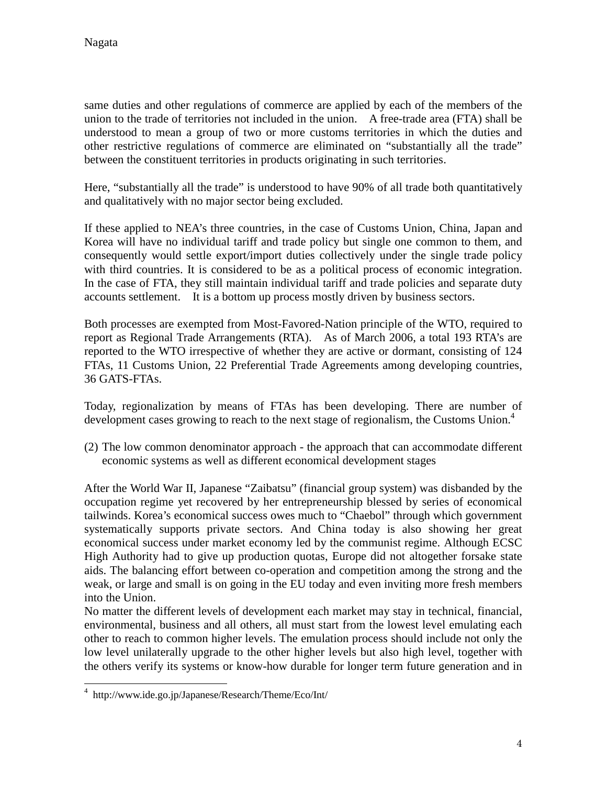same duties and other regulations of commerce are applied by each of the members of the union to the trade of territories not included in the union. A free-trade area (FTA) shall be understood to mean a group of two or more customs territories in which the duties and other restrictive regulations of commerce are eliminated on "substantially all the trade" between the constituent territories in products originating in such territories.

Here, "substantially all the trade" is understood to have 90% of all trade both quantitatively and qualitatively with no major sector being excluded.

If these applied to NEA's three countries, in the case of Customs Union, China, Japan and Korea will have no individual tariff and trade policy but single one common to them, and consequently would settle export/import duties collectively under the single trade policy with third countries. It is considered to be as a political process of economic integration. In the case of FTA, they still maintain individual tariff and trade policies and separate duty accounts settlement. It is a bottom up process mostly driven by business sectors.

Both processes are exempted from Most-Favored-Nation principle of the WTO, required to report as Regional Trade Arrangements (RTA). As of March 2006, a total 193 RTA's are reported to the WTO irrespective of whether they are active or dormant, consisting of 124 FTAs, 11 Customs Union, 22 Preferential Trade Agreements among developing countries, 36 GATS-FTAs.

Today, regionalization by means of FTAs has been developing. There are number of development cases growing to reach to the next stage of regionalism, the Customs Union.<sup>4</sup>

(2) The low common denominator approach - the approach that can accommodate different economic systems as well as different economical development stages

After the World War II, Japanese "Zaibatsu" (financial group system) was disbanded by the occupation regime yet recovered by her entrepreneurship blessed by series of economical tailwinds. Korea's economical success owes much to "Chaebol" through which government systematically supports private sectors. And China today is also showing her great economical success under market economy led by the communist regime. Although ECSC High Authority had to give up production quotas, Europe did not altogether forsake state aids. The balancing effort between co-operation and competition among the strong and the weak, or large and small is on going in the EU today and even inviting more fresh members into the Union.

No matter the different levels of development each market may stay in technical, financial, environmental, business and all others, all must start from the lowest level emulating each other to reach to common higher levels. The emulation process should include not only the low level unilaterally upgrade to the other higher levels but also high level, together with the others verify its systems or know-how durable for longer term future generation and in

 $\overline{a}$ 4 http://www.ide.go.jp/Japanese/Research/Theme/Eco/Int/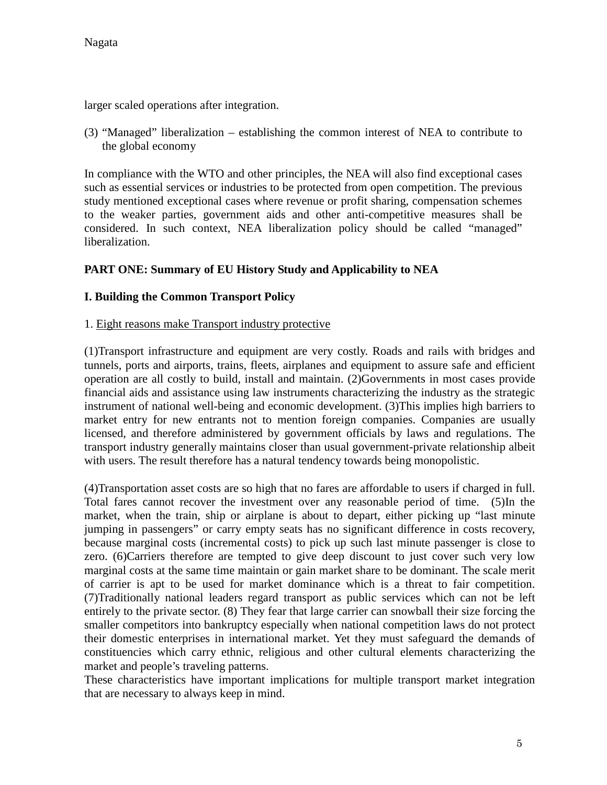larger scaled operations after integration.

(3) "Managed" liberalization – establishing the common interest of NEA to contribute to the global economy

In compliance with the WTO and other principles, the NEA will also find exceptional cases such as essential services or industries to be protected from open competition. The previous study mentioned exceptional cases where revenue or profit sharing, compensation schemes to the weaker parties, government aids and other anti-competitive measures shall be considered. In such context, NEA liberalization policy should be called "managed" liberalization.

# **PART ONE: Summary of EU History Study and Applicability to NEA**

#### **I. Building the Common Transport Policy**

#### 1. Eight reasons make Transport industry protective

(1)Transport infrastructure and equipment are very costly. Roads and rails with bridges and tunnels, ports and airports, trains, fleets, airplanes and equipment to assure safe and efficient operation are all costly to build, install and maintain. (2)Governments in most cases provide financial aids and assistance using law instruments characterizing the industry as the strategic instrument of national well-being and economic development. (3)This implies high barriers to market entry for new entrants not to mention foreign companies. Companies are usually licensed, and therefore administered by government officials by laws and regulations. The transport industry generally maintains closer than usual government-private relationship albeit with users. The result therefore has a natural tendency towards being monopolistic.

(4)Transportation asset costs are so high that no fares are affordable to users if charged in full. Total fares cannot recover the investment over any reasonable period of time. (5)In the market, when the train, ship or airplane is about to depart, either picking up "last minute jumping in passengers" or carry empty seats has no significant difference in costs recovery, because marginal costs (incremental costs) to pick up such last minute passenger is close to zero. (6)Carriers therefore are tempted to give deep discount to just cover such very low marginal costs at the same time maintain or gain market share to be dominant. The scale merit of carrier is apt to be used for market dominance which is a threat to fair competition. (7)Traditionally national leaders regard transport as public services which can not be left entirely to the private sector. (8) They fear that large carrier can snowball their size forcing the smaller competitors into bankruptcy especially when national competition laws do not protect their domestic enterprises in international market. Yet they must safeguard the demands of constituencies which carry ethnic, religious and other cultural elements characterizing the market and people's traveling patterns.

These characteristics have important implications for multiple transport market integration that are necessary to always keep in mind.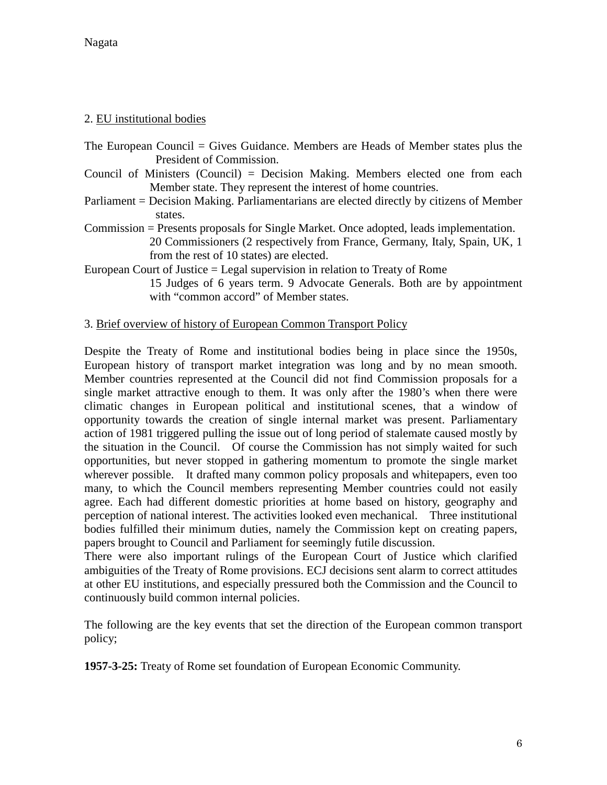Nagata

#### 2. EU institutional bodies

- The European Council = Gives Guidance. Members are Heads of Member states plus the President of Commission.
- Council of Ministers (Council) = Decision Making. Members elected one from each Member state. They represent the interest of home countries.
- Parliament = Decision Making. Parliamentarians are elected directly by citizens of Member states.
- Commission = Presents proposals for Single Market. Once adopted, leads implementation. 20 Commissioners (2 respectively from France, Germany, Italy, Spain, UK, 1 from the rest of 10 states) are elected.
- European Court of Justice = Legal supervision in relation to Treaty of Rome 15 Judges of 6 years term. 9 Advocate Generals. Both are by appointment with "common accord" of Member states.

#### 3. Brief overview of history of European Common Transport Policy

Despite the Treaty of Rome and institutional bodies being in place since the 1950s, European history of transport market integration was long and by no mean smooth. Member countries represented at the Council did not find Commission proposals for a single market attractive enough to them. It was only after the 1980's when there were climatic changes in European political and institutional scenes, that a window of opportunity towards the creation of single internal market was present. Parliamentary action of 1981 triggered pulling the issue out of long period of stalemate caused mostly by the situation in the Council. Of course the Commission has not simply waited for such opportunities, but never stopped in gathering momentum to promote the single market wherever possible. It drafted many common policy proposals and whitepapers, even too many, to which the Council members representing Member countries could not easily agree. Each had different domestic priorities at home based on history, geography and perception of national interest. The activities looked even mechanical. Three institutional bodies fulfilled their minimum duties, namely the Commission kept on creating papers, papers brought to Council and Parliament for seemingly futile discussion.

There were also important rulings of the European Court of Justice which clarified ambiguities of the Treaty of Rome provisions. ECJ decisions sent alarm to correct attitudes at other EU institutions, and especially pressured both the Commission and the Council to continuously build common internal policies.

The following are the key events that set the direction of the European common transport policy;

**1957-3-25:** Treaty of Rome set foundation of European Economic Community.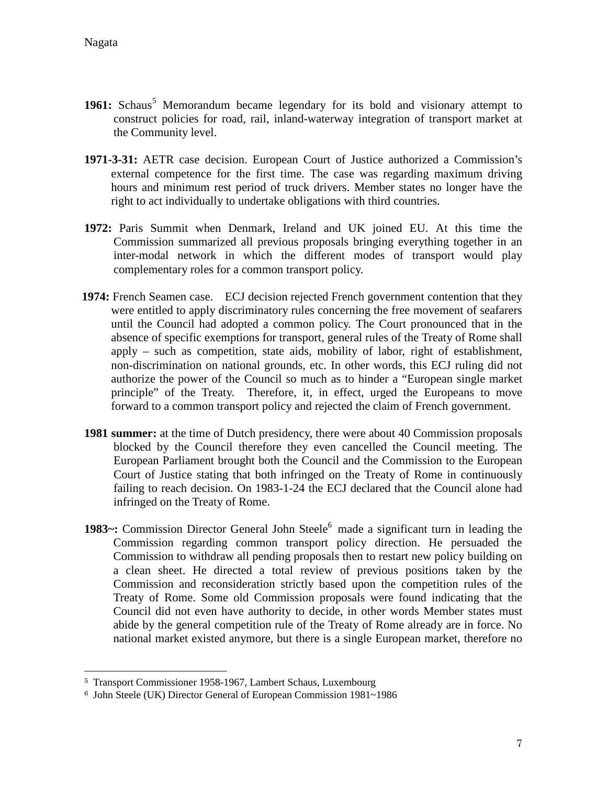- 1961: Schaus<sup>5</sup> Memorandum became legendary for its bold and visionary attempt to construct policies for road, rail, inland-waterway integration of transport market at the Community level.
- **1971-3-31:** AETR case decision. European Court of Justice authorized a Commission's external competence for the first time. The case was regarding maximum driving hours and minimum rest period of truck drivers. Member states no longer have the right to act individually to undertake obligations with third countries.
- **1972:** Paris Summit when Denmark, Ireland and UK joined EU. At this time the Commission summarized all previous proposals bringing everything together in an inter-modal network in which the different modes of transport would play complementary roles for a common transport policy.
- **1974:** French Seamen case. ECJ decision rejected French government contention that they were entitled to apply discriminatory rules concerning the free movement of seafarers until the Council had adopted a common policy. The Court pronounced that in the absence of specific exemptions for transport, general rules of the Treaty of Rome shall apply – such as competition, state aids, mobility of labor, right of establishment, non-discrimination on national grounds, etc. In other words, this ECJ ruling did not authorize the power of the Council so much as to hinder a "European single market principle" of the Treaty. Therefore, it, in effect, urged the Europeans to move forward to a common transport policy and rejected the claim of French government.
- **1981 summer:** at the time of Dutch presidency, there were about 40 Commission proposals blocked by the Council therefore they even cancelled the Council meeting. The European Parliament brought both the Council and the Commission to the European Court of Justice stating that both infringed on the Treaty of Rome in continuously failing to reach decision. On 1983-1-24 the ECJ declared that the Council alone had infringed on the Treaty of Rome.
- 1983~: Commission Director General John Steele<sup>6</sup> made a significant turn in leading the Commission regarding common transport policy direction. He persuaded the Commission to withdraw all pending proposals then to restart new policy building on a clean sheet. He directed a total review of previous positions taken by the Commission and reconsideration strictly based upon the competition rules of the Treaty of Rome. Some old Commission proposals were found indicating that the Council did not even have authority to decide, in other words Member states must abide by the general competition rule of the Treaty of Rome already are in force. No national market existed anymore, but there is a single European market, therefore no

<sup>5</sup> Transport Commissioner 1958-1967, Lambert Schaus, Luxembourg

<sup>6</sup> John Steele (UK) Director General of European Commission 1981~1986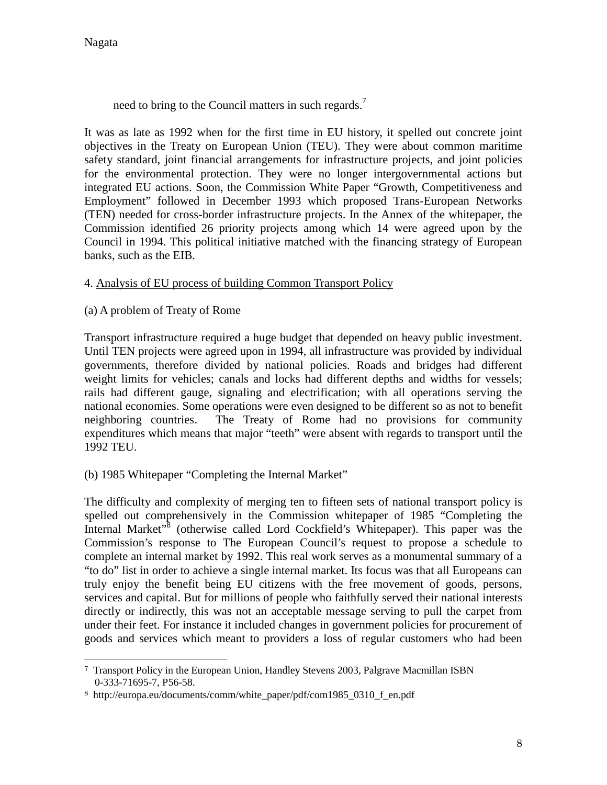$\overline{a}$ 

need to bring to the Council matters in such regards.<sup>7</sup>

It was as late as 1992 when for the first time in EU history, it spelled out concrete joint objectives in the Treaty on European Union (TEU). They were about common maritime safety standard, joint financial arrangements for infrastructure projects, and joint policies for the environmental protection. They were no longer intergovernmental actions but integrated EU actions. Soon, the Commission White Paper "Growth, Competitiveness and Employment" followed in December 1993 which proposed Trans-European Networks (TEN) needed for cross-border infrastructure projects. In the Annex of the whitepaper, the Commission identified 26 priority projects among which 14 were agreed upon by the Council in 1994. This political initiative matched with the financing strategy of European banks, such as the EIB.

# 4. Analysis of EU process of building Common Transport Policy

(a) A problem of Treaty of Rome

Transport infrastructure required a huge budget that depended on heavy public investment. Until TEN projects were agreed upon in 1994, all infrastructure was provided by individual governments, therefore divided by national policies. Roads and bridges had different weight limits for vehicles; canals and locks had different depths and widths for vessels; rails had different gauge, signaling and electrification; with all operations serving the national economies. Some operations were even designed to be different so as not to benefit neighboring countries. The Treaty of Rome had no provisions for community expenditures which means that major "teeth" were absent with regards to transport until the 1992 TEU.

# (b) 1985 Whitepaper "Completing the Internal Market"

The difficulty and complexity of merging ten to fifteen sets of national transport policy is spelled out comprehensively in the Commission whitepaper of 1985 "Completing the Internal Market"<sup>8</sup> (otherwise called Lord Cockfield's Whitepaper). This paper was the Commission's response to The European Council's request to propose a schedule to complete an internal market by 1992. This real work serves as a monumental summary of a "to do" list in order to achieve a single internal market. Its focus was that all Europeans can truly enjoy the benefit being EU citizens with the free movement of goods, persons, services and capital. But for millions of people who faithfully served their national interests directly or indirectly, this was not an acceptable message serving to pull the carpet from under their feet. For instance it included changes in government policies for procurement of goods and services which meant to providers a loss of regular customers who had been

<sup>7</sup> Transport Policy in the European Union, Handley Stevens 2003, Palgrave Macmillan ISBN 0-333-71695-7, P56-58.

<sup>8</sup> http://europa.eu/documents/comm/white\_paper/pdf/com1985\_0310\_f\_en.pdf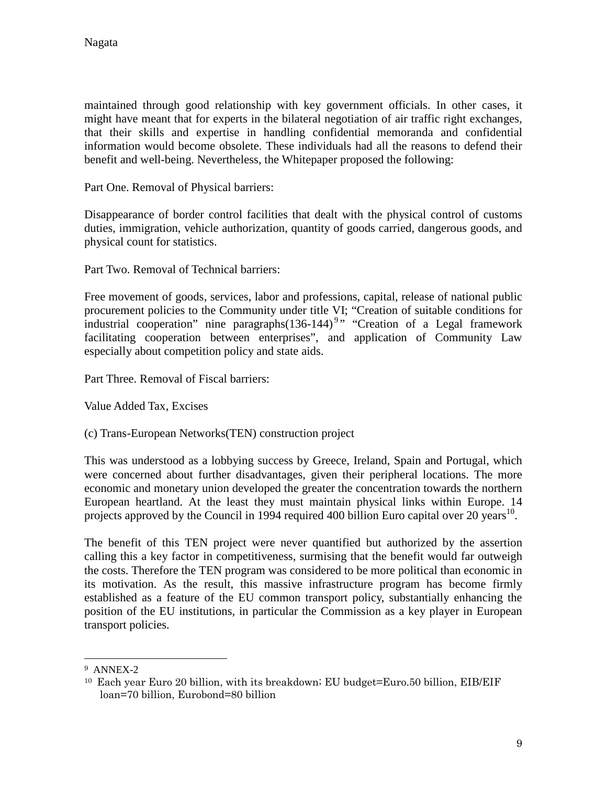maintained through good relationship with key government officials. In other cases, it might have meant that for experts in the bilateral negotiation of air traffic right exchanges, that their skills and expertise in handling confidential memoranda and confidential information would become obsolete. These individuals had all the reasons to defend their benefit and well-being. Nevertheless, the Whitepaper proposed the following:

Part One. Removal of Physical barriers:

Disappearance of border control facilities that dealt with the physical control of customs duties, immigration, vehicle authorization, quantity of goods carried, dangerous goods, and physical count for statistics.

Part Two. Removal of Technical barriers:

Free movement of goods, services, labor and professions, capital, release of national public procurement policies to the Community under title VI; "Creation of suitable conditions for industrial cooperation" nine paragraphs(136-144)<sup>9</sup>" "Creation of a Legal framework facilitating cooperation between enterprises", and application of Community Law especially about competition policy and state aids.

Part Three. Removal of Fiscal barriers:

Value Added Tax, Excises

(c) Trans-European Networks(TEN) construction project

This was understood as a lobbying success by Greece, Ireland, Spain and Portugal, which were concerned about further disadvantages, given their peripheral locations. The more economic and monetary union developed the greater the concentration towards the northern European heartland. At the least they must maintain physical links within Europe. 14 projects approved by the Council in 1994 required 400 billion Euro capital over 20 years<sup>10</sup>.

The benefit of this TEN project were never quantified but authorized by the assertion calling this a key factor in competitiveness, surmising that the benefit would far outweigh the costs. Therefore the TEN program was considered to be more political than economic in its motivation. As the result, this massive infrastructure program has become firmly established as a feature of the EU common transport policy, substantially enhancing the position of the EU institutions, in particular the Commission as a key player in European transport policies.

 $\overline{a}$ 

<sup>9</sup> ANNEX-2

<sup>10</sup> Each year Euro 20 billion, with its breakdown; EU budget=Euro.50 billion, EIB/EIF loan=70 billion, Eurobond=80 billion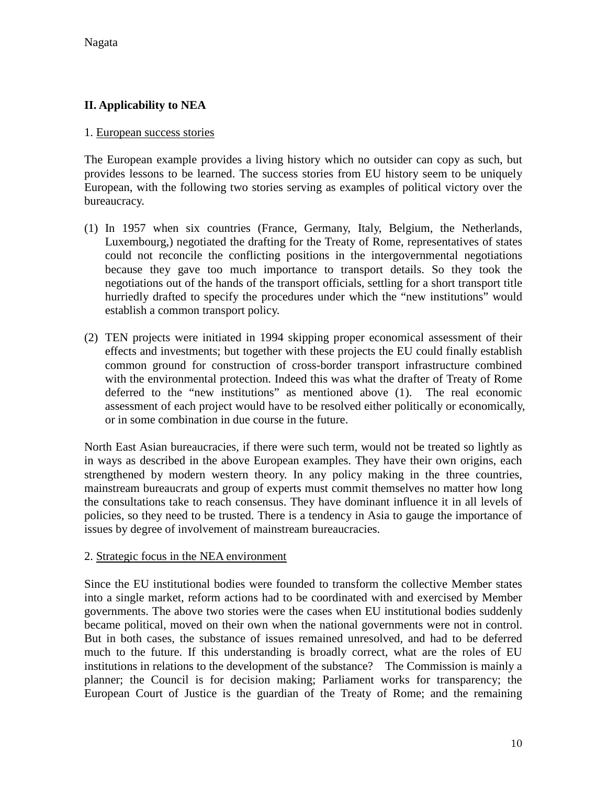# **II. Applicability to NEA**

#### 1. European success stories

The European example provides a living history which no outsider can copy as such, but provides lessons to be learned. The success stories from EU history seem to be uniquely European, with the following two stories serving as examples of political victory over the bureaucracy.

- (1) In 1957 when six countries (France, Germany, Italy, Belgium, the Netherlands, Luxembourg,) negotiated the drafting for the Treaty of Rome, representatives of states could not reconcile the conflicting positions in the intergovernmental negotiations because they gave too much importance to transport details. So they took the negotiations out of the hands of the transport officials, settling for a short transport title hurriedly drafted to specify the procedures under which the "new institutions" would establish a common transport policy.
- (2) TEN projects were initiated in 1994 skipping proper economical assessment of their effects and investments; but together with these projects the EU could finally establish common ground for construction of cross-border transport infrastructure combined with the environmental protection. Indeed this was what the drafter of Treaty of Rome deferred to the "new institutions" as mentioned above (1). The real economic assessment of each project would have to be resolved either politically or economically, or in some combination in due course in the future.

North East Asian bureaucracies, if there were such term, would not be treated so lightly as in ways as described in the above European examples. They have their own origins, each strengthened by modern western theory. In any policy making in the three countries, mainstream bureaucrats and group of experts must commit themselves no matter how long the consultations take to reach consensus. They have dominant influence it in all levels of policies, so they need to be trusted. There is a tendency in Asia to gauge the importance of issues by degree of involvement of mainstream bureaucracies.

#### 2. Strategic focus in the NEA environment

Since the EU institutional bodies were founded to transform the collective Member states into a single market, reform actions had to be coordinated with and exercised by Member governments. The above two stories were the cases when EU institutional bodies suddenly became political, moved on their own when the national governments were not in control. But in both cases, the substance of issues remained unresolved, and had to be deferred much to the future. If this understanding is broadly correct, what are the roles of EU institutions in relations to the development of the substance? The Commission is mainly a planner; the Council is for decision making; Parliament works for transparency; the European Court of Justice is the guardian of the Treaty of Rome; and the remaining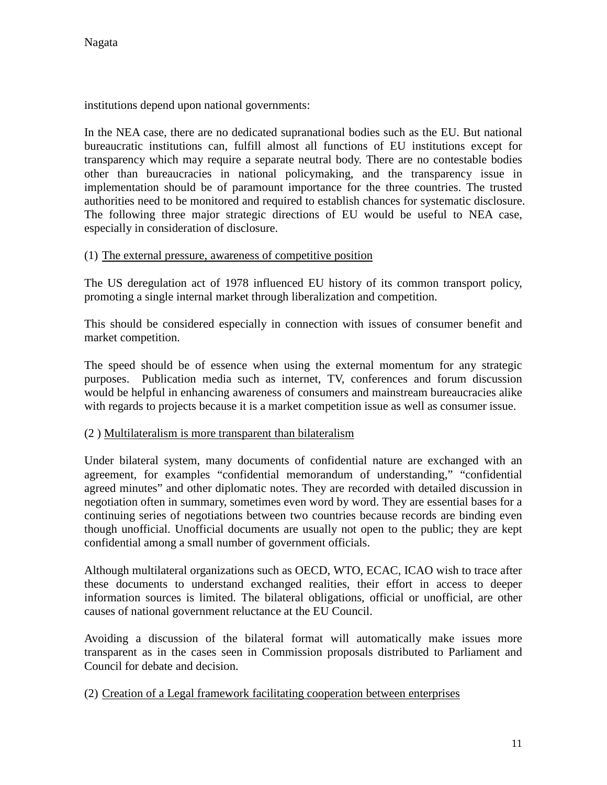institutions depend upon national governments:

In the NEA case, there are no dedicated supranational bodies such as the EU. But national bureaucratic institutions can, fulfill almost all functions of EU institutions except for transparency which may require a separate neutral body. There are no contestable bodies other than bureaucracies in national policymaking, and the transparency issue in implementation should be of paramount importance for the three countries. The trusted authorities need to be monitored and required to establish chances for systematic disclosure. The following three major strategic directions of EU would be useful to NEA case, especially in consideration of disclosure.

#### (1) The external pressure, awareness of competitive position

The US deregulation act of 1978 influenced EU history of its common transport policy, promoting a single internal market through liberalization and competition.

This should be considered especially in connection with issues of consumer benefit and market competition.

The speed should be of essence when using the external momentum for any strategic purposes. Publication media such as internet, TV, conferences and forum discussion would be helpful in enhancing awareness of consumers and mainstream bureaucracies alike with regards to projects because it is a market competition issue as well as consumer issue.

#### (2 ) Multilateralism is more transparent than bilateralism

Under bilateral system, many documents of confidential nature are exchanged with an agreement, for examples "confidential memorandum of understanding," "confidential agreed minutes" and other diplomatic notes. They are recorded with detailed discussion in negotiation often in summary, sometimes even word by word. They are essential bases for a continuing series of negotiations between two countries because records are binding even though unofficial. Unofficial documents are usually not open to the public; they are kept confidential among a small number of government officials.

Although multilateral organizations such as OECD, WTO, ECAC, ICAO wish to trace after these documents to understand exchanged realities, their effort in access to deeper information sources is limited. The bilateral obligations, official or unofficial, are other causes of national government reluctance at the EU Council.

Avoiding a discussion of the bilateral format will automatically make issues more transparent as in the cases seen in Commission proposals distributed to Parliament and Council for debate and decision.

#### (2) Creation of a Legal framework facilitating cooperation between enterprises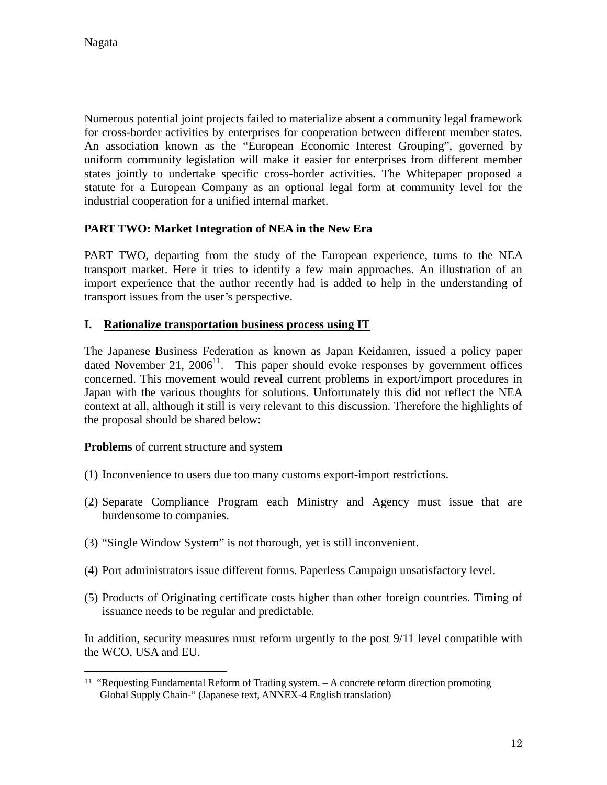$\overline{a}$ 

Numerous potential joint projects failed to materialize absent a community legal framework for cross-border activities by enterprises for cooperation between different member states. An association known as the "European Economic Interest Grouping", governed by uniform community legislation will make it easier for enterprises from different member states jointly to undertake specific cross-border activities. The Whitepaper proposed a statute for a European Company as an optional legal form at community level for the industrial cooperation for a unified internal market.

# **PART TWO: Market Integration of NEA in the New Era**

PART TWO, departing from the study of the European experience, turns to the NEA transport market. Here it tries to identify a few main approaches. An illustration of an import experience that the author recently had is added to help in the understanding of transport issues from the user's perspective.

#### **I. Rationalize transportation business process using IT**

The Japanese Business Federation as known as Japan Keidanren, issued a policy paper dated November 21,  $2006<sup>11</sup>$ . This paper should evoke responses by government offices concerned. This movement would reveal current problems in export/import procedures in Japan with the various thoughts for solutions. Unfortunately this did not reflect the NEA context at all, although it still is very relevant to this discussion. Therefore the highlights of the proposal should be shared below:

**Problems** of current structure and system

- (1) Inconvenience to users due too many customs export-import restrictions.
- (2) Separate Compliance Program each Ministry and Agency must issue that are burdensome to companies.
- (3) "Single Window System" is not thorough, yet is still inconvenient.
- (4) Port administrators issue different forms. Paperless Campaign unsatisfactory level.
- (5) Products of Originating certificate costs higher than other foreign countries. Timing of issuance needs to be regular and predictable.

In addition, security measures must reform urgently to the post 9/11 level compatible with the WCO, USA and EU.

<sup>11</sup> "Requesting Fundamental Reform of Trading system. – A concrete reform direction promoting Global Supply Chain-" (Japanese text, ANNEX-4 English translation)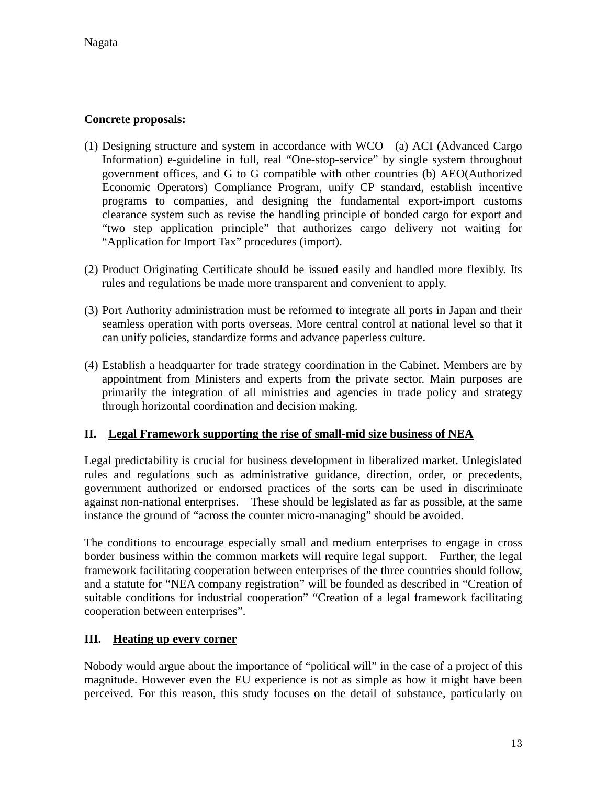### **Concrete proposals:**

- (1) Designing structure and system in accordance with WCO (a) ACI (Advanced Cargo Information) e-guideline in full, real "One-stop-service" by single system throughout government offices, and G to G compatible with other countries (b) AEO(Authorized Economic Operators) Compliance Program, unify CP standard, establish incentive programs to companies, and designing the fundamental export-import customs clearance system such as revise the handling principle of bonded cargo for export and "two step application principle" that authorizes cargo delivery not waiting for "Application for Import Tax" procedures (import).
- (2) Product Originating Certificate should be issued easily and handled more flexibly. Its rules and regulations be made more transparent and convenient to apply.
- (3) Port Authority administration must be reformed to integrate all ports in Japan and their seamless operation with ports overseas. More central control at national level so that it can unify policies, standardize forms and advance paperless culture.
- (4) Establish a headquarter for trade strategy coordination in the Cabinet. Members are by appointment from Ministers and experts from the private sector. Main purposes are primarily the integration of all ministries and agencies in trade policy and strategy through horizontal coordination and decision making.

#### **II. Legal Framework supporting the rise of small-mid size business of NEA**

Legal predictability is crucial for business development in liberalized market. Unlegislated rules and regulations such as administrative guidance, direction, order, or precedents, government authorized or endorsed practices of the sorts can be used in discriminate against non-national enterprises. These should be legislated as far as possible, at the same instance the ground of "across the counter micro-managing" should be avoided.

The conditions to encourage especially small and medium enterprises to engage in cross border business within the common markets will require legal support. Further, the legal framework facilitating cooperation between enterprises of the three countries should follow, and a statute for "NEA company registration" will be founded as described in "Creation of suitable conditions for industrial cooperation" "Creation of a legal framework facilitating cooperation between enterprises".

# **III. Heating up every corner**

Nobody would argue about the importance of "political will" in the case of a project of this magnitude. However even the EU experience is not as simple as how it might have been perceived. For this reason, this study focuses on the detail of substance, particularly on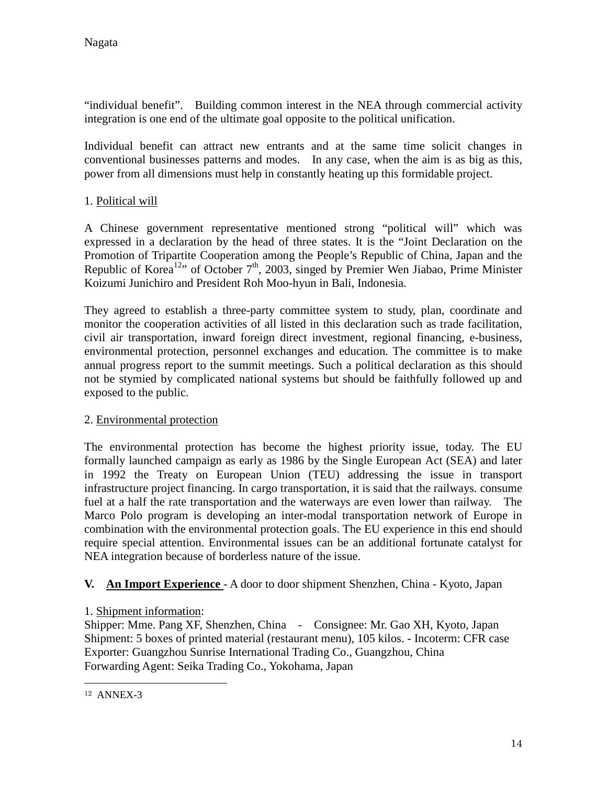"individual benefit". Building common interest in the NEA through commercial activity integration is one end of the ultimate goal opposite to the political unification.

Individual benefit can attract new entrants and at the same time solicit changes in conventional businesses patterns and modes. In any case, when the aim is as big as this, power from all dimensions must help in constantly heating up this formidable project.

# 1. Political will

A Chinese government representative mentioned strong "political will" which was expressed in a declaration by the head of three states. It is the "Joint Declaration on the Promotion of Tripartite Cooperation among the People's Republic of China, Japan and the Republic of Korea<sup>12</sup>" of October 7<sup>th</sup>, 2003, singed by Premier Wen Jiabao, Prime Minister Koizumi Junichiro and President Roh Moo-hyun in Bali, Indonesia.

They agreed to establish a three-party committee system to study, plan, coordinate and monitor the cooperation activities of all listed in this declaration such as trade facilitation, civil air transportation, inward foreign direct investment, regional financing, e-business, environmental protection, personnel exchanges and education. The committee is to make annual progress report to the summit meetings. Such a political declaration as this should not be stymied by complicated national systems but should be faithfully followed up and exposed to the public.

#### 2. Environmental protection

The environmental protection has become the highest priority issue, today. The EU formally launched campaign as early as 1986 by the Single European Act (SEA) and later in 1992 the Treaty on European Union (TEU) addressing the issue in transport infrastructure project financing. In cargo transportation, it is said that the railways. consume fuel at a half the rate transportation and the waterways are even lower than railway. The Marco Polo program is developing an inter-modal transportation network of Europe in combination with the environmental protection goals. The EU experience in this end should require special attention. Environmental issues can be an additional fortunate catalyst for NEA integration because of borderless nature of the issue.

# **V. An Import Experience** - A door to door shipment Shenzhen, China - Kyoto, Japan

#### 1. Shipment information:

Shipper: Mme. Pang XF, Shenzhen, China - Consignee: Mr. Gao XH, Kyoto, Japan Shipment: 5 boxes of printed material (restaurant menu), 105 kilos. - Incoterm: CFR case Exporter: Guangzhou Sunrise International Trading Co., Guangzhou, China Forwarding Agent: Seika Trading Co., Yokohama, Japan

 $\overline{a}$ 

<sup>12</sup> ANNEX-3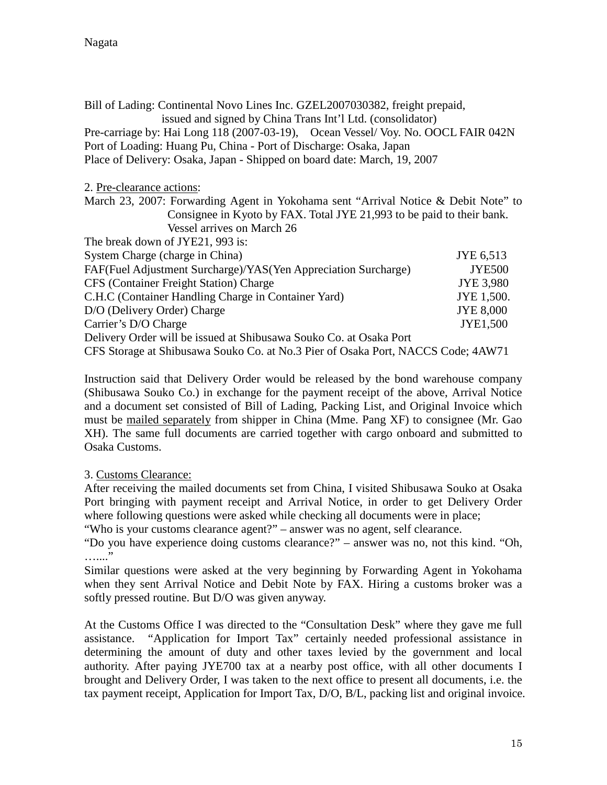| Bill of Lading: Continental Novo Lines Inc. GZEL2007030382, freight prepaid,<br>issued and signed by China Trans Int'l Ltd. (consolidator) |               |  |
|--------------------------------------------------------------------------------------------------------------------------------------------|---------------|--|
| Pre-carriage by: Hai Long 118 (2007-03-19), Ocean Vessel/ Voy. No. OOCL FAIR 042N                                                          |               |  |
| Port of Loading: Huang Pu, China - Port of Discharge: Osaka, Japan                                                                         |               |  |
| Place of Delivery: Osaka, Japan - Shipped on board date: March, 19, 2007                                                                   |               |  |
| 2. Pre-clearance actions:                                                                                                                  |               |  |
| March 23, 2007: Forwarding Agent in Yokohama sent "Arrival Notice & Debit Note" to                                                         |               |  |
| Consignee in Kyoto by FAX. Total JYE 21,993 to be paid to their bank.                                                                      |               |  |
| Vessel arrives on March 26                                                                                                                 |               |  |
| The break down of JYE21, 993 is:                                                                                                           |               |  |
| System Charge (charge in China)<br>JYE 6,513                                                                                               |               |  |
| FAF(Fuel Adjustment Surcharge)/YAS(Yen Appreciation Surcharge)                                                                             | <b>JYE500</b> |  |
| CFS (Container Freight Station) Charge<br><b>JYE 3,980</b>                                                                                 |               |  |
| C.H.C (Container Handling Charge in Container Yard)<br>JYE 1,500.                                                                          |               |  |
| D/O (Delivery Order) Charge<br><b>JYE 8,000</b>                                                                                            |               |  |
| Carrier's D/O Charge                                                                                                                       | JYE1,500      |  |
| Delivery Order will be issued at Shibusawa Souko Co. at Osaka Port                                                                         |               |  |
| CFS Storage at Shibusawa Souko Co. at No.3 Pier of Osaka Port, NACCS Code; 4AW71                                                           |               |  |

Instruction said that Delivery Order would be released by the bond warehouse company (Shibusawa Souko Co.) in exchange for the payment receipt of the above, Arrival Notice and a document set consisted of Bill of Lading, Packing List, and Original Invoice which must be mailed separately from shipper in China (Mme. Pang XF) to consignee (Mr. Gao XH). The same full documents are carried together with cargo onboard and submitted to Osaka Customs.

#### 3. Customs Clearance:

After receiving the mailed documents set from China, I visited Shibusawa Souko at Osaka Port bringing with payment receipt and Arrival Notice, in order to get Delivery Order where following questions were asked while checking all documents were in place;

"Who is your customs clearance agent?" – answer was no agent, self clearance.

"Do you have experience doing customs clearance?" – answer was no, not this kind. "Oh, ..<br>………

Similar questions were asked at the very beginning by Forwarding Agent in Yokohama when they sent Arrival Notice and Debit Note by FAX. Hiring a customs broker was a softly pressed routine. But D/O was given anyway.

At the Customs Office I was directed to the "Consultation Desk" where they gave me full assistance. "Application for Import Tax" certainly needed professional assistance in determining the amount of duty and other taxes levied by the government and local authority. After paying JYE700 tax at a nearby post office, with all other documents I brought and Delivery Order, I was taken to the next office to present all documents, i.e. the tax payment receipt, Application for Import Tax, D/O, B/L, packing list and original invoice.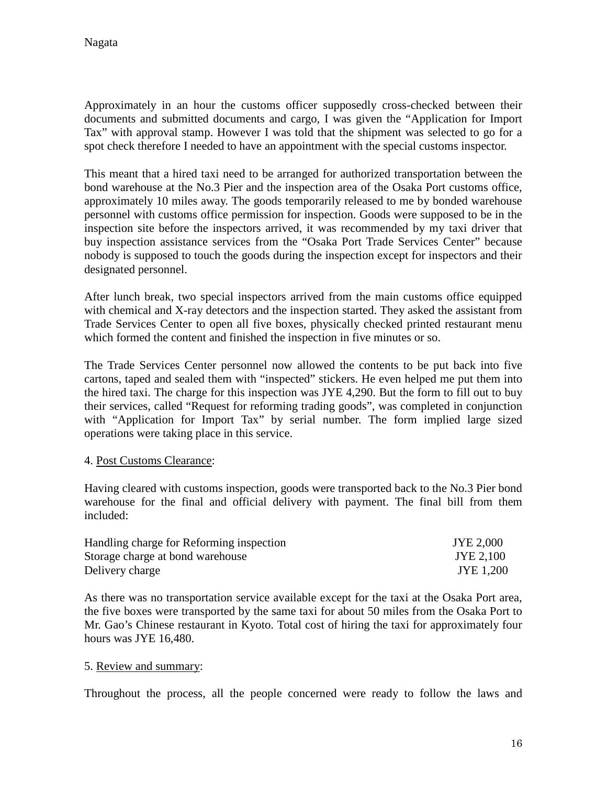Approximately in an hour the customs officer supposedly cross-checked between their documents and submitted documents and cargo, I was given the "Application for Import Tax" with approval stamp. However I was told that the shipment was selected to go for a spot check therefore I needed to have an appointment with the special customs inspector.

This meant that a hired taxi need to be arranged for authorized transportation between the bond warehouse at the No.3 Pier and the inspection area of the Osaka Port customs office, approximately 10 miles away. The goods temporarily released to me by bonded warehouse personnel with customs office permission for inspection. Goods were supposed to be in the inspection site before the inspectors arrived, it was recommended by my taxi driver that buy inspection assistance services from the "Osaka Port Trade Services Center" because nobody is supposed to touch the goods during the inspection except for inspectors and their designated personnel.

After lunch break, two special inspectors arrived from the main customs office equipped with chemical and X-ray detectors and the inspection started. They asked the assistant from Trade Services Center to open all five boxes, physically checked printed restaurant menu which formed the content and finished the inspection in five minutes or so.

The Trade Services Center personnel now allowed the contents to be put back into five cartons, taped and sealed them with "inspected" stickers. He even helped me put them into the hired taxi. The charge for this inspection was JYE 4,290. But the form to fill out to buy their services, called "Request for reforming trading goods", was completed in conjunction with "Application for Import Tax" by serial number. The form implied large sized operations were taking place in this service.

#### 4. Post Customs Clearance:

Having cleared with customs inspection, goods were transported back to the No.3 Pier bond warehouse for the final and official delivery with payment. The final bill from them included:

| Handling charge for Reforming inspection | JYE 2,000 |
|------------------------------------------|-----------|
| Storage charge at bond warehouse         | JYE 2,100 |
| Delivery charge                          | JYE 1,200 |

As there was no transportation service available except for the taxi at the Osaka Port area, the five boxes were transported by the same taxi for about 50 miles from the Osaka Port to Mr. Gao's Chinese restaurant in Kyoto. Total cost of hiring the taxi for approximately four hours was JYE 16,480.

#### 5. Review and summary:

Throughout the process, all the people concerned were ready to follow the laws and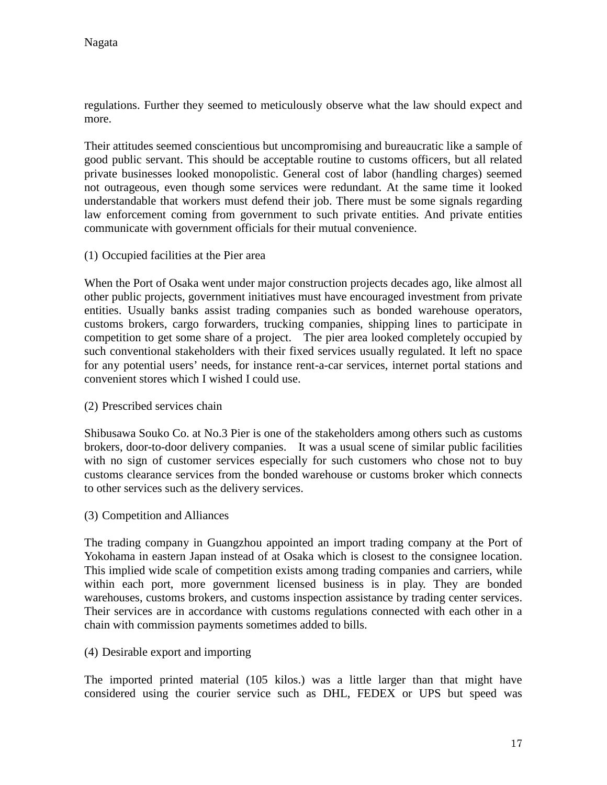regulations. Further they seemed to meticulously observe what the law should expect and more.

Their attitudes seemed conscientious but uncompromising and bureaucratic like a sample of good public servant. This should be acceptable routine to customs officers, but all related private businesses looked monopolistic. General cost of labor (handling charges) seemed not outrageous, even though some services were redundant. At the same time it looked understandable that workers must defend their job. There must be some signals regarding law enforcement coming from government to such private entities. And private entities communicate with government officials for their mutual convenience.

(1) Occupied facilities at the Pier area

When the Port of Osaka went under major construction projects decades ago, like almost all other public projects, government initiatives must have encouraged investment from private entities. Usually banks assist trading companies such as bonded warehouse operators, customs brokers, cargo forwarders, trucking companies, shipping lines to participate in competition to get some share of a project. The pier area looked completely occupied by such conventional stakeholders with their fixed services usually regulated. It left no space for any potential users' needs, for instance rent-a-car services, internet portal stations and convenient stores which I wished I could use.

(2) Prescribed services chain

Shibusawa Souko Co. at No.3 Pier is one of the stakeholders among others such as customs brokers, door-to-door delivery companies. It was a usual scene of similar public facilities with no sign of customer services especially for such customers who chose not to buy customs clearance services from the bonded warehouse or customs broker which connects to other services such as the delivery services.

(3) Competition and Alliances

The trading company in Guangzhou appointed an import trading company at the Port of Yokohama in eastern Japan instead of at Osaka which is closest to the consignee location. This implied wide scale of competition exists among trading companies and carriers, while within each port, more government licensed business is in play. They are bonded warehouses, customs brokers, and customs inspection assistance by trading center services. Their services are in accordance with customs regulations connected with each other in a chain with commission payments sometimes added to bills.

(4) Desirable export and importing

The imported printed material (105 kilos.) was a little larger than that might have considered using the courier service such as DHL, FEDEX or UPS but speed was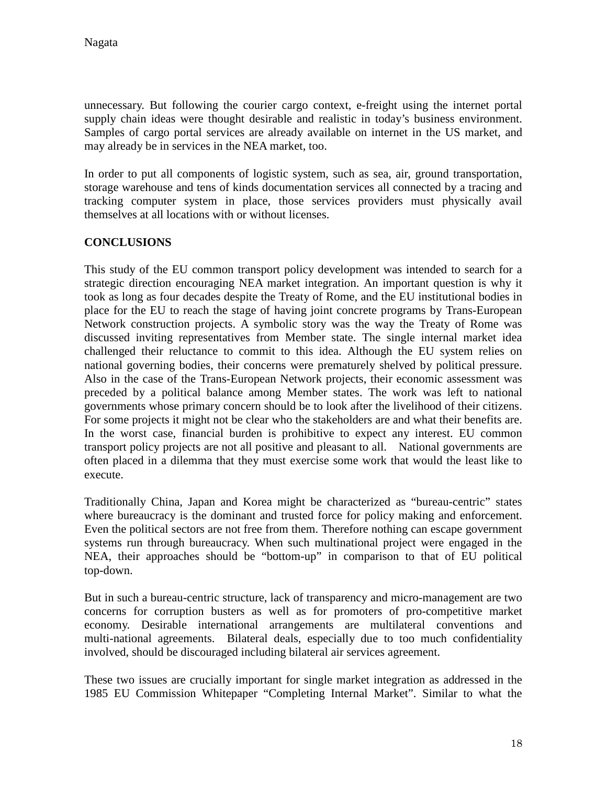unnecessary. But following the courier cargo context, e-freight using the internet portal supply chain ideas were thought desirable and realistic in today's business environment. Samples of cargo portal services are already available on internet in the US market, and may already be in services in the NEA market, too.

In order to put all components of logistic system, such as sea, air, ground transportation, storage warehouse and tens of kinds documentation services all connected by a tracing and tracking computer system in place, those services providers must physically avail themselves at all locations with or without licenses.

#### **CONCLUSIONS**

This study of the EU common transport policy development was intended to search for a strategic direction encouraging NEA market integration. An important question is why it took as long as four decades despite the Treaty of Rome, and the EU institutional bodies in place for the EU to reach the stage of having joint concrete programs by Trans-European Network construction projects. A symbolic story was the way the Treaty of Rome was discussed inviting representatives from Member state. The single internal market idea challenged their reluctance to commit to this idea. Although the EU system relies on national governing bodies, their concerns were prematurely shelved by political pressure. Also in the case of the Trans-European Network projects, their economic assessment was preceded by a political balance among Member states. The work was left to national governments whose primary concern should be to look after the livelihood of their citizens. For some projects it might not be clear who the stakeholders are and what their benefits are. In the worst case, financial burden is prohibitive to expect any interest. EU common transport policy projects are not all positive and pleasant to all. National governments are often placed in a dilemma that they must exercise some work that would the least like to execute.

Traditionally China, Japan and Korea might be characterized as "bureau-centric" states where bureaucracy is the dominant and trusted force for policy making and enforcement. Even the political sectors are not free from them. Therefore nothing can escape government systems run through bureaucracy. When such multinational project were engaged in the NEA, their approaches should be "bottom-up" in comparison to that of EU political top-down.

But in such a bureau-centric structure, lack of transparency and micro-management are two concerns for corruption busters as well as for promoters of pro-competitive market economy. Desirable international arrangements are multilateral conventions and multi-national agreements. Bilateral deals, especially due to too much confidentiality involved, should be discouraged including bilateral air services agreement.

These two issues are crucially important for single market integration as addressed in the 1985 EU Commission Whitepaper "Completing Internal Market". Similar to what the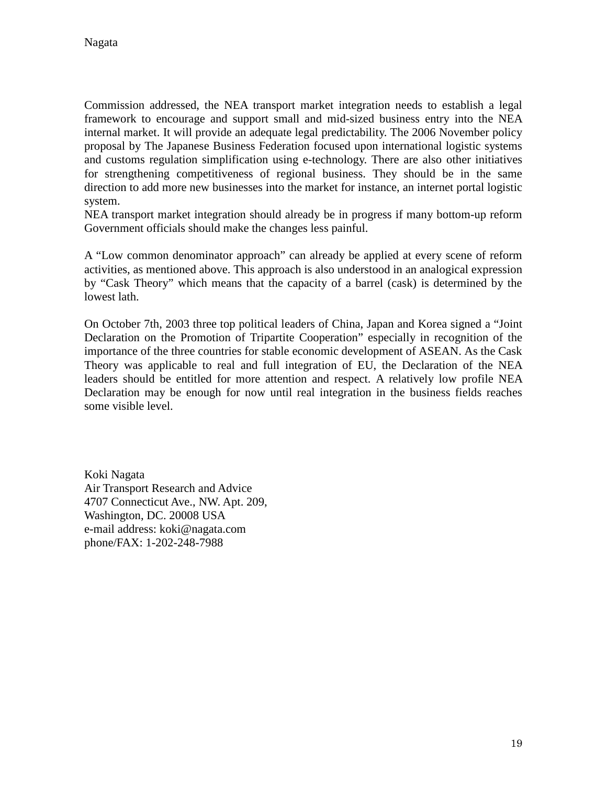Commission addressed, the NEA transport market integration needs to establish a legal framework to encourage and support small and mid-sized business entry into the NEA internal market. It will provide an adequate legal predictability. The 2006 November policy proposal by The Japanese Business Federation focused upon international logistic systems and customs regulation simplification using e-technology. There are also other initiatives for strengthening competitiveness of regional business. They should be in the same direction to add more new businesses into the market for instance, an internet portal logistic system.

NEA transport market integration should already be in progress if many bottom-up reform Government officials should make the changes less painful.

A "Low common denominator approach" can already be applied at every scene of reform activities, as mentioned above. This approach is also understood in an analogical expression by "Cask Theory" which means that the capacity of a barrel (cask) is determined by the lowest lath.

On October 7th, 2003 three top political leaders of China, Japan and Korea signed a "Joint Declaration on the Promotion of Tripartite Cooperation" especially in recognition of the importance of the three countries for stable economic development of ASEAN. As the Cask Theory was applicable to real and full integration of EU, the Declaration of the NEA leaders should be entitled for more attention and respect. A relatively low profile NEA Declaration may be enough for now until real integration in the business fields reaches some visible level.

Koki Nagata Air Transport Research and Advice 4707 Connecticut Ave., NW. Apt. 209, Washington, DC. 20008 USA e-mail address: koki@nagata.com phone/FAX: 1-202-248-7988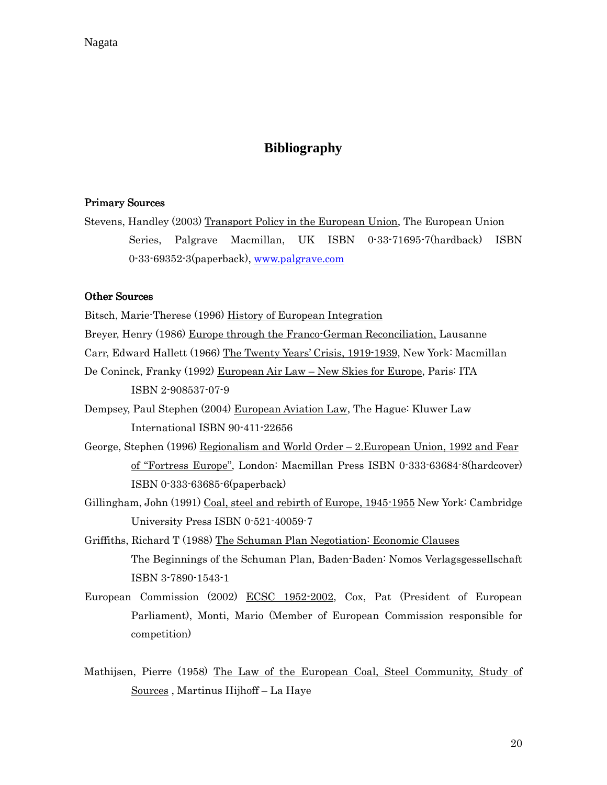# **Bibliography**

#### Primary Sources

Stevens, Handley (2003) Transport Policy in the European Union, The European Union Series, Palgrave Macmillan, UK ISBN 0-33-71695-7(hardback) ISBN 0-33-69352-3(paperback), www.palgrave.com

#### Other Sources

Bitsch, Marie-Therese (1996) History of European Integration

Breyer, Henry (1986) Europe through the Franco-German Reconciliation, Lausanne

Carr, Edward Hallett (1966) The Twenty Years' Crisis, 1919-1939, New York: Macmillan

- De Coninck, Franky (1992) European Air Law New Skies for Europe, Paris: ITA ISBN 2-908537-07-9
- Dempsey, Paul Stephen (2004) European Aviation Law, The Hague: Kluwer Law International ISBN 90-411-22656
- George, Stephen (1996) Regionalism and World Order 2.European Union, 1992 and Fear of "Fortress Europe", London: Macmillan Press ISBN 0-333-63684-8(hardcover) ISBN 0-333-63685-6(paperback)
- Gillingham, John (1991) Coal, steel and rebirth of Europe, 1945-1955 New York: Cambridge University Press ISBN 0-521-40059-7
- Griffiths, Richard T (1988) The Schuman Plan Negotiation: Economic Clauses The Beginnings of the Schuman Plan, Baden-Baden: Nomos Verlagsgessellschaft ISBN 3-7890-1543-1
- European Commission (2002) ECSC 1952-2002, Cox, Pat (President of European Parliament), Monti, Mario (Member of European Commission responsible for competition)
- Mathijsen, Pierre (1958) The Law of the European Coal, Steel Community, Study of Sources , Martinus Hijhoff – La Haye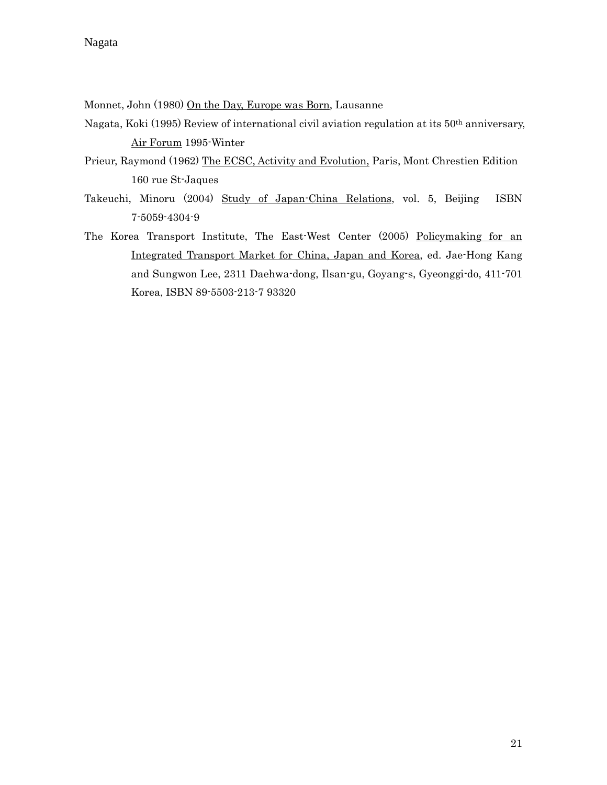#### Nagata

Monnet, John (1980) On the Day, Europe was Born, Lausanne

- Nagata, Koki (1995) Review of international civil aviation regulation at its 50th anniversary, Air Forum 1995-Winter
- Prieur, Raymond (1962) The ECSC, Activity and Evolution, Paris, Mont Chrestien Edition 160 rue St-Jaques
- Takeuchi, Minoru (2004) Study of Japan-China Relations, vol. 5, Beijing ISBN 7-5059-4304-9
- The Korea Transport Institute, The East-West Center (2005) Policymaking for an Integrated Transport Market for China, Japan and Korea, ed. Jae-Hong Kang and Sungwon Lee, 2311 Daehwa-dong, Ilsan-gu, Goyang-s, Gyeonggi-do, 411-701 Korea, ISBN 89-5503-213-7 93320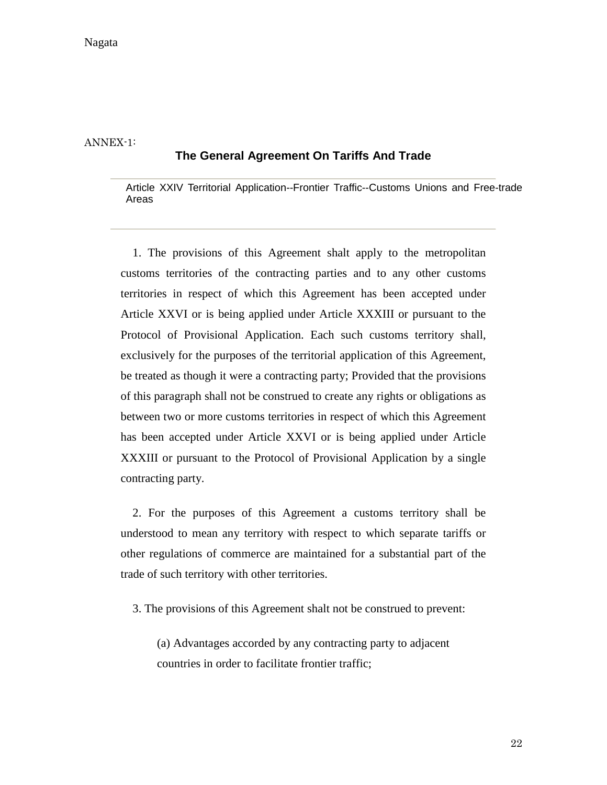ANNEX-1:

#### **The General Agreement On Tariffs And Trade**

Article XXIV Territorial Application--Frontier Traffic--Customs Unions and Free-trade Areas

1. The provisions of this Agreement shalt apply to the metropolitan customs territories of the contracting parties and to any other customs territories in respect of which this Agreement has been accepted under Article XXVI or is being applied under Article XXXIII or pursuant to the Protocol of Provisional Application. Each such customs territory shall, exclusively for the purposes of the territorial application of this Agreement, be treated as though it were a contracting party; Provided that the provisions of this paragraph shall not be construed to create any rights or obligations as between two or more customs territories in respect of which this Agreement has been accepted under Article XXVI or is being applied under Article XXXIII or pursuant to the Protocol of Provisional Application by a single contracting party.

2. For the purposes of this Agreement a customs territory shall be understood to mean any territory with respect to which separate tariffs or other regulations of commerce are maintained for a substantial part of the trade of such territory with other territories.

3. The provisions of this Agreement shalt not be construed to prevent:

(a) Advantages accorded by any contracting party to adjacent countries in order to facilitate frontier traffic;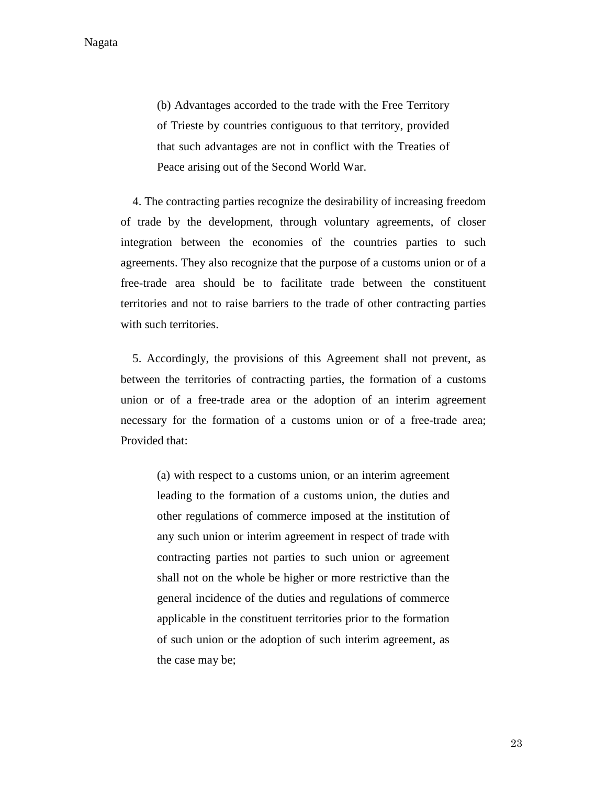Nagata

(b) Advantages accorded to the trade with the Free Territory of Trieste by countries contiguous to that territory, provided that such advantages are not in conflict with the Treaties of Peace arising out of the Second World War.

4. The contracting parties recognize the desirability of increasing freedom of trade by the development, through voluntary agreements, of closer integration between the economies of the countries parties to such agreements. They also recognize that the purpose of a customs union or of a free-trade area should be to facilitate trade between the constituent territories and not to raise barriers to the trade of other contracting parties with such territories.

5. Accordingly, the provisions of this Agreement shall not prevent, as between the territories of contracting parties, the formation of a customs union or of a free-trade area or the adoption of an interim agreement necessary for the formation of a customs union or of a free-trade area; Provided that:

> (a) with respect to a customs union, or an interim agreement leading to the formation of a customs union, the duties and other regulations of commerce imposed at the institution of any such union or interim agreement in respect of trade with contracting parties not parties to such union or agreement shall not on the whole be higher or more restrictive than the general incidence of the duties and regulations of commerce applicable in the constituent territories prior to the formation of such union or the adoption of such interim agreement, as the case may be;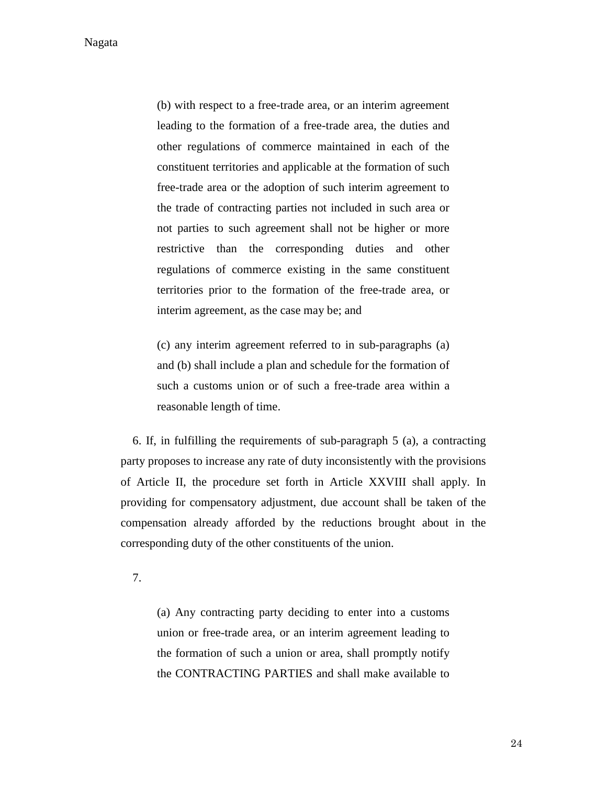Nagata

(b) with respect to a free-trade area, or an interim agreement leading to the formation of a free-trade area, the duties and other regulations of commerce maintained in each of the constituent territories and applicable at the formation of such free-trade area or the adoption of such interim agreement to the trade of contracting parties not included in such area or not parties to such agreement shall not be higher or more restrictive than the corresponding duties and other regulations of commerce existing in the same constituent territories prior to the formation of the free-trade area, or interim agreement, as the case may be; and

(c) any interim agreement referred to in sub-paragraphs (a) and (b) shall include a plan and schedule for the formation of such a customs union or of such a free-trade area within a reasonable length of time.

6. If, in fulfilling the requirements of sub-paragraph 5 (a), a contracting party proposes to increase any rate of duty inconsistently with the provisions of Article II, the procedure set forth in Article XXVIII shall apply. In providing for compensatory adjustment, due account shall be taken of the compensation already afforded by the reductions brought about in the corresponding duty of the other constituents of the union.

7.

(a) Any contracting party deciding to enter into a customs union or free-trade area, or an interim agreement leading to the formation of such a union or area, shall promptly notify the CONTRACTING PARTIES and shall make available to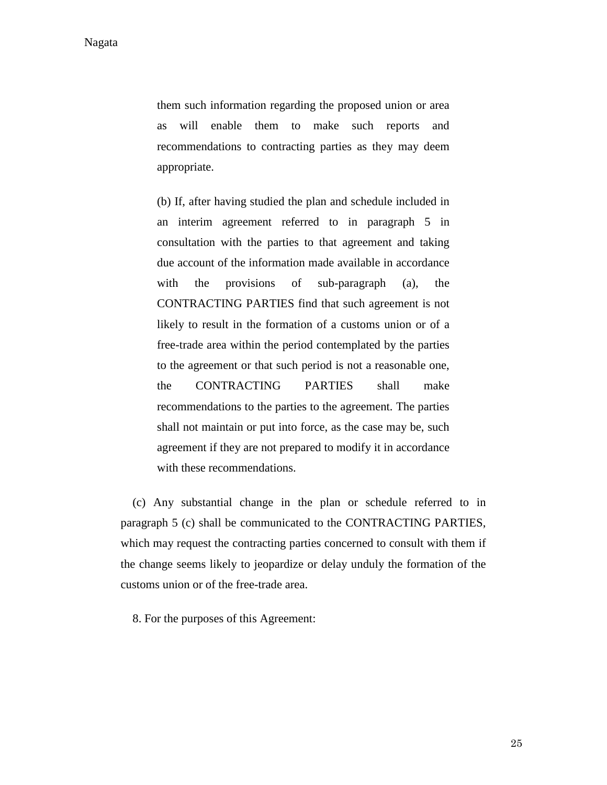them such information regarding the proposed union or area as will enable them to make such reports and recommendations to contracting parties as they may deem appropriate.

(b) If, after having studied the plan and schedule included in an interim agreement referred to in paragraph 5 in consultation with the parties to that agreement and taking due account of the information made available in accordance with the provisions of sub-paragraph (a), the CONTRACTING PARTIES find that such agreement is not likely to result in the formation of a customs union or of a free-trade area within the period contemplated by the parties to the agreement or that such period is not a reasonable one, the CONTRACTING PARTIES shall make recommendations to the parties to the agreement. The parties shall not maintain or put into force, as the case may be, such agreement if they are not prepared to modify it in accordance with these recommendations.

(c) Any substantial change in the plan or schedule referred to in paragraph 5 (c) shall be communicated to the CONTRACTING PARTIES, which may request the contracting parties concerned to consult with them if the change seems likely to jeopardize or delay unduly the formation of the customs union or of the free-trade area.

8. For the purposes of this Agreement: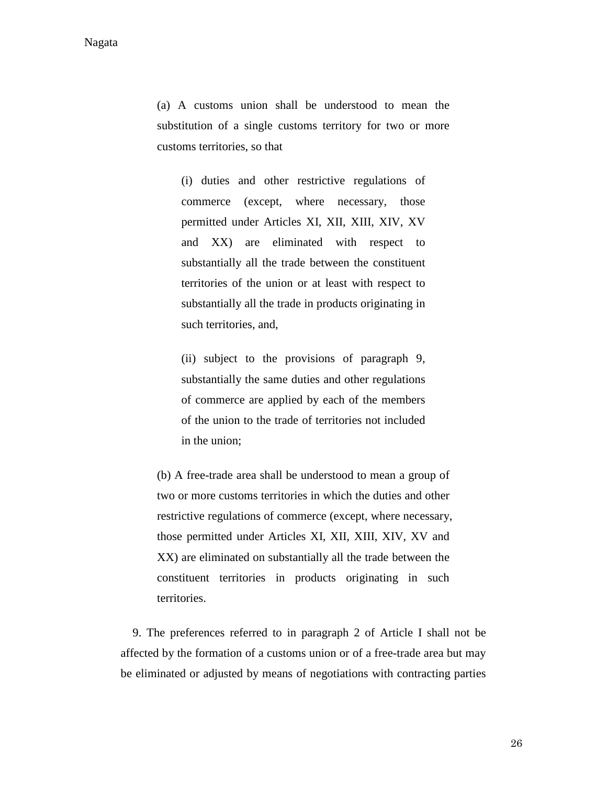(a) A customs union shall be understood to mean the substitution of a single customs territory for two or more customs territories, so that

(i) duties and other restrictive regulations of commerce (except, where necessary, those permitted under Articles XI, XII, XIII, XIV, XV and XX) are eliminated with respect to substantially all the trade between the constituent territories of the union or at least with respect to substantially all the trade in products originating in such territories, and,

(ii) subject to the provisions of paragraph 9, substantially the same duties and other regulations of commerce are applied by each of the members of the union to the trade of territories not included in the union;

(b) A free-trade area shall be understood to mean a group of two or more customs territories in which the duties and other restrictive regulations of commerce (except, where necessary, those permitted under Articles XI, XII, XIII, XIV, XV and XX) are eliminated on substantially all the trade between the constituent territories in products originating in such territories.

9. The preferences referred to in paragraph 2 of Article I shall not be affected by the formation of a customs union or of a free-trade area but may be eliminated or adjusted by means of negotiations with contracting parties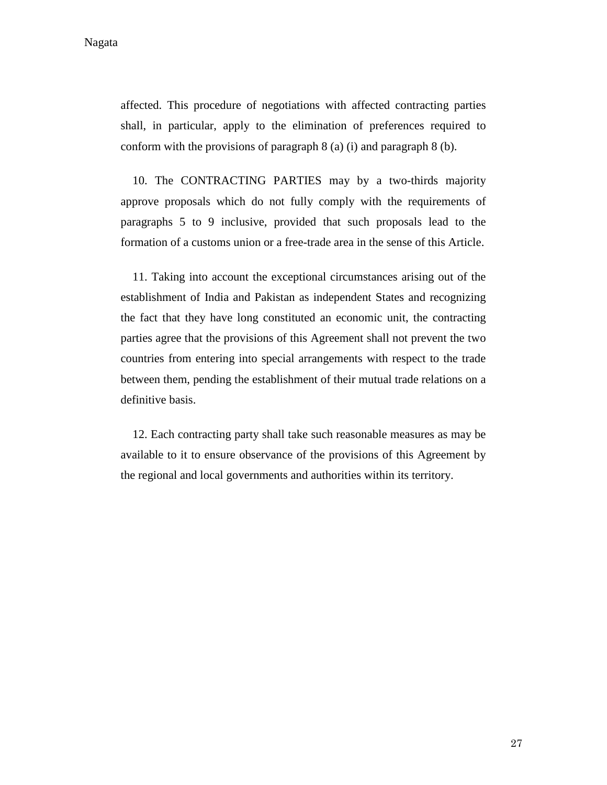Nagata

affected. This procedure of negotiations with affected contracting parties shall, in particular, apply to the elimination of preferences required to conform with the provisions of paragraph 8 (a) (i) and paragraph 8 (b).

10. The CONTRACTING PARTIES may by a two-thirds majority approve proposals which do not fully comply with the requirements of paragraphs 5 to 9 inclusive, provided that such proposals lead to the formation of a customs union or a free-trade area in the sense of this Article.

11. Taking into account the exceptional circumstances arising out of the establishment of India and Pakistan as independent States and recognizing the fact that they have long constituted an economic unit, the contracting parties agree that the provisions of this Agreement shall not prevent the two countries from entering into special arrangements with respect to the trade between them, pending the establishment of their mutual trade relations on a definitive basis.

12. Each contracting party shall take such reasonable measures as may be available to it to ensure observance of the provisions of this Agreement by the regional and local governments and authorities within its territory.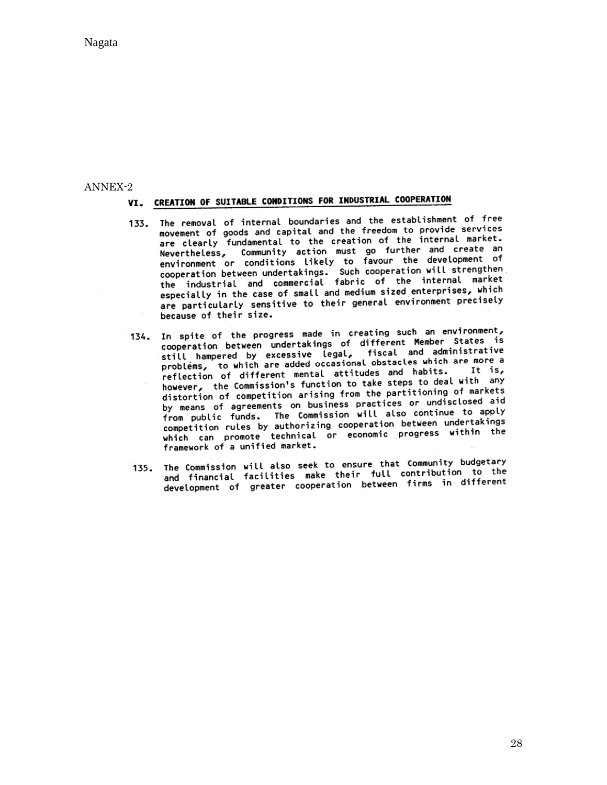Nagata

# ANNEX-2<br>VI. CREATION OF SUITABLE CONDITIONS FOR INDUSTRIAL COOPERATION

- 133. The removal of internal boundaries and the establishment of free movement of goods and capital and the freedom to provide services are clearly fundamental to the creation of the internal market. are clearly fundamental to the creation of the internal market.<br>Nevertheless, Community action must go further and create an<br>environment or conditions likely to favour the development of<br>cooperation between undertakings. S especially in the case of small and medium sized enterprises, which especially in the case of small and medium sized enterprisecy modes<br>are particularly sensitive to their general environment precisely because of their size.
- 134. In spite of the progress made in creating such an environment, opperation between undertakings of different Member States is<br>cooperation between undertakings of different Member States is cooperation between undertakings of different near and administrative<br>still hampered by excessive legal, fiscal and administrative<br>problems, to which are added occasional basis which are more a problems, to which are added occasional observed which. It is, reflection of different mental attitudes and nability.<br>however, the Commission's function to take steps to deal with any however, the Commission's function to take steps to digital the distortion of competition arising from the partitioning of markets distortion of competition arising from the partitioning<br>by means of agreements on business practices or undisclosed aid by means of agreements on business practices or discussed to apply<br>from public funds. The Commission will also continue to apply from public funds. The commission will also concinual undertakings<br>competition rules by authorizing cooperation between undertakings competition rules by authorizing cooperation between dilate can promote technical or economic progress within the framework of a unified market.
- 135. The Commission will also seek to ensure that Community budgetary The Commission will also seek to ensure that community budgetor!<br>and financial facilities make their full contribution to the and financial facilities make their fute contribution.<br>development of greater cooperation between firms in different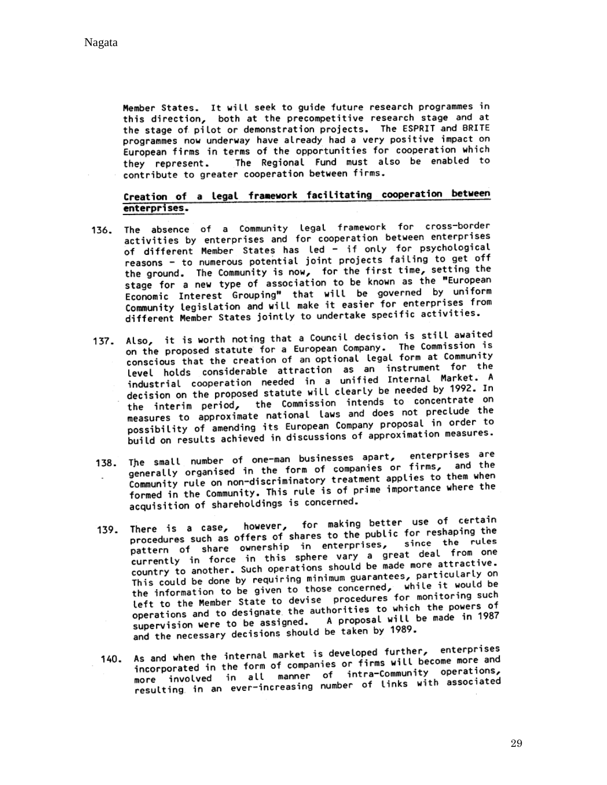Member States. It will seek to guide future research programmes in this direction, both at the precompetitive research stage and at the stage of pilot or demonstration projects. The ESPRIT and BRITE programmes now underway have already had a very positive impact on European firms in terms of the opportunities for cooperation which The Regional Fund must also be enabled to they represent. contribute to greater cooperation between firms.

#### Creation of a legal framework facilitating cooperation between enterprises.

- 136. The absence of a Community legal framework for cross-border activities by enterprises and for cooperation between enterprises of different Member States has led - if only for psychological reasons - to numerous potential joint projects failing to get off the ground. The Community is now, for the first time, setting the stage for a new type of association to be known as the "European Economic Interest Grouping" that will be governed by uniform Community legislation and will make it easier for enterprises from different Member States jointly to undertake specific activities.
- 137. Also, it is worth noting that a Council decision is still awaited on the proposed statute for a European Company. The Commission is<br>on the proposed statute for a European Company. The Commission is on the proposed statute for a European company. conscious that the creation of an operator esset forment for the<br>level holds considerable attraction as an instrument for the level holds considerable attraction as an instrument for the<br>industrial cooperation needed in a unified Internal Market. A industrial cooperation needed in a unified filterial by 1992. In<br>decision on the proposed statute will clearly be needed by 1992. In decision on the proposed statute with clearly be needed by the and<br>the interim period, the Commission intends to concentrate on<br>measures to approximate national laws and does not preclude the<br>seasures to approximate nation measures to approximate national tams and does no possibility of amending its European Company proposal in order to possibility of amending its european company proposer in measures.
- 138. The small number of one-man businesses apart, enterprises are The small number of one-man businesses apart, encorprised the<br>generally organised in the form of companies or firms, and the generally organised in the form of companies of films, when<br>Community rule on non-discriminatory treatment applies to them when Community rule on non-discriminatory treatment appends to entries<br>formed in the Community. This rule is of prime importance where the acquisition of shareholdings is concerned.
- 139. There is a case, however, for making better use of certain There is a case, however, for making better and the<br>procedures such as offers of shares to the public for reshaping the procedures such as offers of snares to the public for resulting<br>pattern of share ownership in enterprises, since the rules pattern of share ownership in enterprises, since the<br>currently in force in this sphere vary a great deal from one<br>currently in force in this sphere vary a great deal from one currently in force in this sphere vary a great deal intractive.<br>country to another. Such operations should be made more attractive. country to another. Such operations should be made more thanks on<br>This could be done by requiring minimum guarantees, particularly on This could be done by requiring minimum guarantees, particle it would be<br>the information to be given to those concerned, while it would be the information to be given to those concerned, which the information is the Member State to devise procedures for monitoring such<br>left to the Member State to devise procedures for which the powers of left to the Member State to devise procedures for monitoring<br>operations and to designate the authorities to which the powers of operations and to designate the authorities to which the peace of supervision were to be assigned. A proposal will be made in 1987 and the necessary decisions should be taken by 1989.
- As and when the internal market is developed further, enterprises<br>As and when the internal market is developed firms will become more and As and when the internal market is developed further, someone and<br>incorporated in the form of companies or firms will become more and 140. incorporated in the form of companies or firms with become more<br>more involved in all manner of intra-Community operations,<br>resulting in an ever-increasing number of links with associated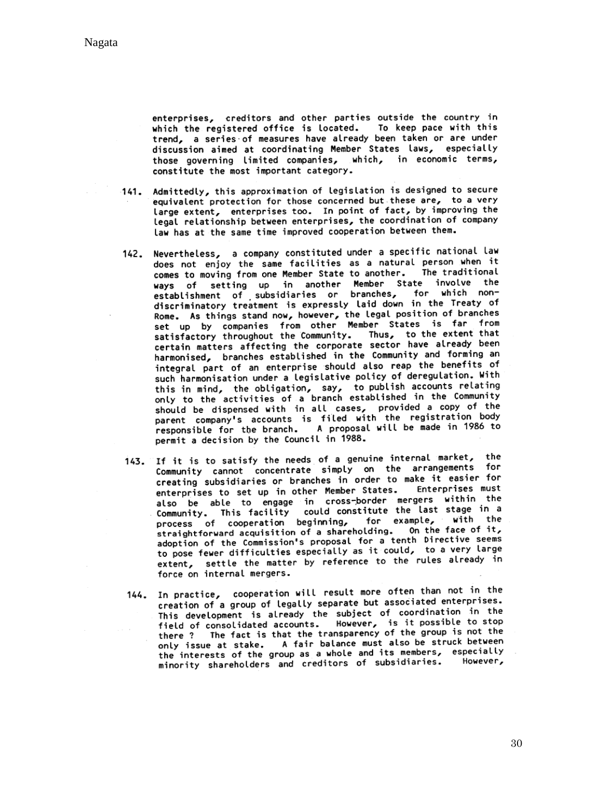enterprises, creditors and other parties outside the country in which the registered office is located. To keep pace with this trend, a series of measures have already been taken or are under discussion aimed at coordinating Member States laws, especially those governing limited companies, which, in economic terms, constitute the most important category.

- 141. Admittedly, this approximation of legislation is designed to secure equivalent protection for those concerned but these are, to a very large extent, enterprises too. In point of fact, by improving the legal relationship between enterprises, the coordination of company law has at the same time improved cooperation between them.
- 142. Nevertheless, a company constituted under a specific national law does not enjoy the same facilities as a natural person when it comes to moving from one Member State to another. The traditional ways of setting up in another Member State involve the<br>establishment of subsidiaries or branches, for which nondiscriminatory treatment is expressly laid down in the Treaty of Rome. As things stand now, however, the legal position of branches<br>set up by companies from other Member States is far from<br>set up by companies from other Member States is far from set up by comparies from other fields. Thus, to the extent that<br>certain matters affecting the corporate sector have already been harmonised, branches established in the Community and forming an integral part of an enterprise should also reap the benefits of such harmonisation under a legislative policy of deregulation. With this in mind, the obligation, say, to publish accounts relating<br>only to the activities of a branch established in the Community should be dispensed with in all cases, provided a copy of the should be dispensed with in all cases, provided registration body<br>parent company's accounts is filed with the registration body parent company's accounts is little with the registration accounts in permit a decision by the Council in 1988.
- 143. If it is to satisfy the needs of a genuine internal market, the Community cannot concentrate simply on the arrangements for community cannot concentrate simply on the make it easier for enterprises to set up in other Member States. Enterprises must<br>enterprises to set up in other Member States. Enterprises must also be able to engage in cross-border mergers within the community. This facility could constitute the last stage in a<br>process of cooperation beginning, for example, with the process of cooperation beginning. On the face of it, adoption of the Commission's proposal for a tenth Directive seems to pose fewer difficulties especially as it could, to a very large extent, settle the matter by reference to the rules already in force on internal mergers.
- 144. In practice, cooperation will result more often than not in the creation of a group of legally separate but associated enterprises. creation of a group of tegatly separate but associated them.<br>This development is already the subject of coordination in the This development is atready the subject of social massible to stop<br>field of consolidated accounts. However, is it possible to stop<br>there? The fact is that the transparency of the group is not the only issue at stake. A fair balance must also be struck between the interests of the group as a whole and its members, especially minority shareholders and creditors of subsidiaries. However,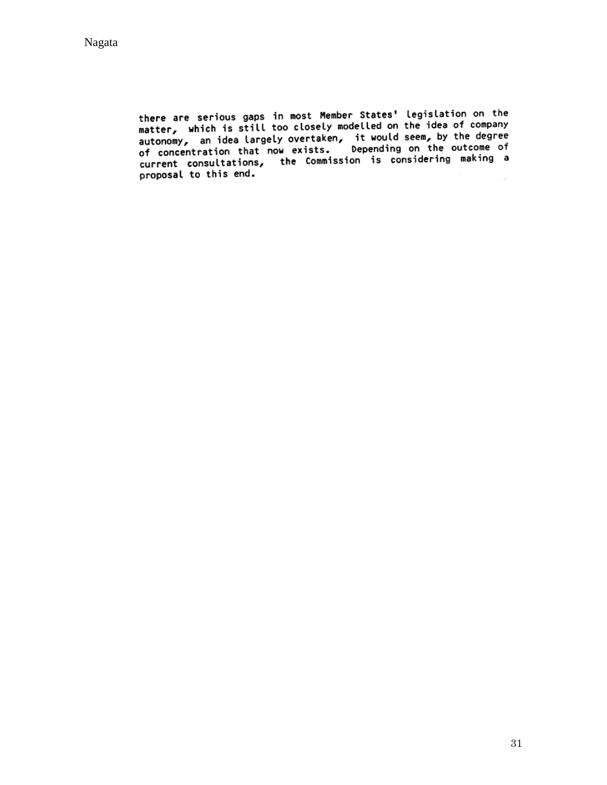there are serious gaps in most Member States' legislation on the<br>matter, which is still too closely modelled on the idea of company<br>autonomy, an idea largely overtaken, it would seem, by the degree<br>of concentration that no of concentration that now exists. Depending on the outcome of<br>current consultations, the Commission is considering making a<br>proposal to this end.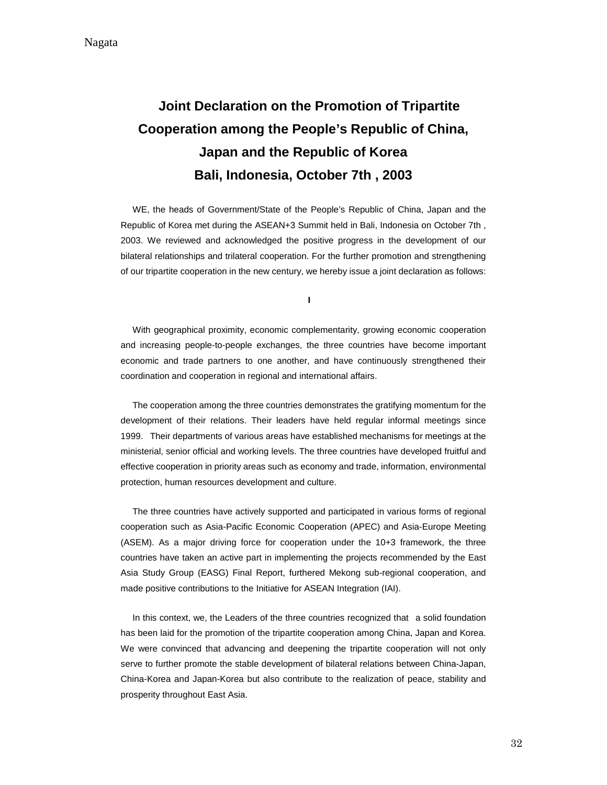# **Joint Declaration on the Promotion of Tripartite Cooperation among the People's Republic of China, Japan and the Republic of Korea Bali, Indonesia, October 7th , 2003**

WE, the heads of Government/State of the People's Republic of China, Japan and the Republic of Korea met during the ASEAN+3 Summit held in Bali, Indonesia on October 7th , 2003. We reviewed and acknowledged the positive progress in the development of our bilateral relationships and trilateral cooperation. For the further promotion and strengthening of our tripartite cooperation in the new century, we hereby issue a joint declaration as follows:

**I**

With geographical proximity, economic complementarity, growing economic cooperation and increasing people-to-people exchanges, the three countries have become important economic and trade partners to one another, and have continuously strengthened their coordination and cooperation in regional and international affairs.

The cooperation among the three countries demonstrates the gratifying momentum for the development of their relations. Their leaders have held regular informal meetings since 1999. Their departments of various areas have established mechanisms for meetings at the ministerial, senior official and working levels. The three countries have developed fruitful and effective cooperation in priority areas such as economy and trade, information, environmental protection, human resources development and culture.

The three countries have actively supported and participated in various forms of regional cooperation such as Asia-Pacific Economic Cooperation (APEC) and Asia-Europe Meeting (ASEM). As a major driving force for cooperation under the 10+3 framework, the three countries have taken an active part in implementing the projects recommended by the East Asia Study Group (EASG) Final Report, furthered Mekong sub-regional cooperation, and made positive contributions to the Initiative for ASEAN Integration (IAI).

In this context, we, the Leaders of the three countries recognized that a solid foundation has been laid for the promotion of the tripartite cooperation among China, Japan and Korea. We were convinced that advancing and deepening the tripartite cooperation will not only serve to further promote the stable development of bilateral relations between China-Japan, China-Korea and Japan-Korea but also contribute to the realization of peace, stability and prosperity throughout East Asia.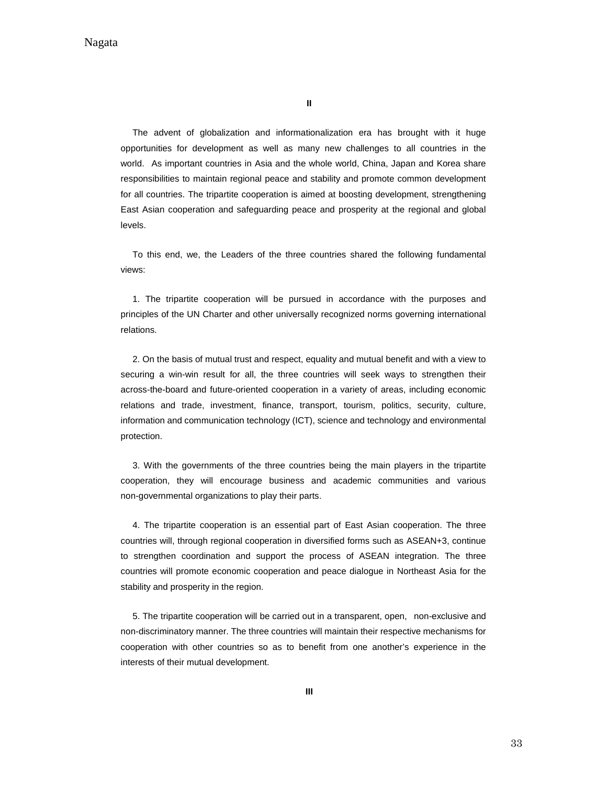**II**

The advent of globalization and informationalization era has brought with it huge opportunities for development as well as many new challenges to all countries in the world. As important countries in Asia and the whole world, China, Japan and Korea share responsibilities to maintain regional peace and stability and promote common development for all countries. The tripartite cooperation is aimed at boosting development, strengthening East Asian cooperation and safeguarding peace and prosperity at the regional and global levels.

To this end, we, the Leaders of the three countries shared the following fundamental views:

1. The tripartite cooperation will be pursued in accordance with the purposes and principles of the UN Charter and other universally recognized norms governing international relations.

2. On the basis of mutual trust and respect, equality and mutual benefit and with a view to securing a win-win result for all, the three countries will seek ways to strengthen their across-the-board and future-oriented cooperation in a variety of areas, including economic relations and trade, investment, finance, transport, tourism, politics, security, culture, information and communication technology (ICT), science and technology and environmental protection.

3. With the governments of the three countries being the main players in the tripartite cooperation, they will encourage business and academic communities and various non-governmental organizations to play their parts.

4. The tripartite cooperation is an essential part of East Asian cooperation. The three countries will, through regional cooperation in diversified forms such as ASEAN+3, continue to strengthen coordination and support the process of ASEAN integration. The three countries will promote economic cooperation and peace dialogue in Northeast Asia for the stability and prosperity in the region.

5. The tripartite cooperation will be carried out in a transparent, open, non-exclusive and non-discriminatory manner. The three countries will maintain their respective mechanisms for cooperation with other countries so as to benefit from one another's experience in the interests of their mutual development.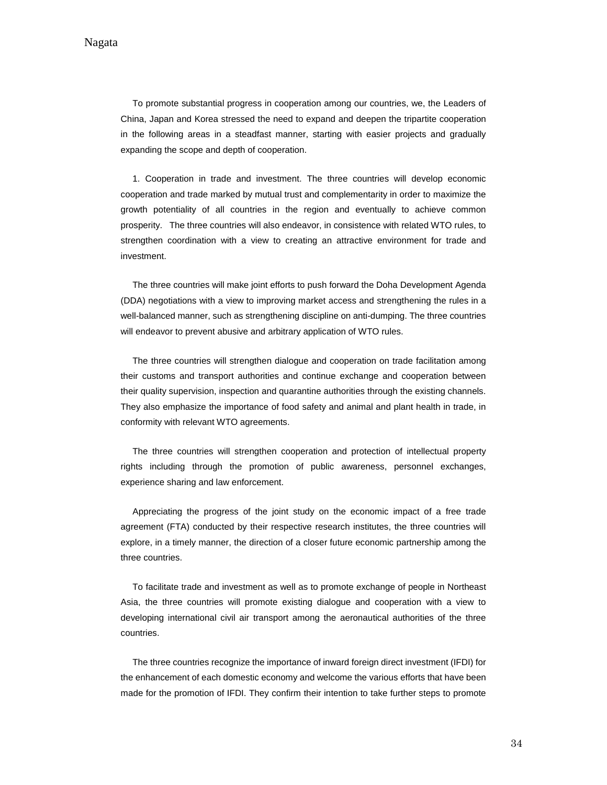To promote substantial progress in cooperation among our countries, we, the Leaders of China, Japan and Korea stressed the need to expand and deepen the tripartite cooperation in the following areas in a steadfast manner, starting with easier projects and gradually expanding the scope and depth of cooperation.

1. Cooperation in trade and investment. The three countries will develop economic cooperation and trade marked by mutual trust and complementarity in order to maximize the growth potentiality of all countries in the region and eventually to achieve common prosperity. The three countries will also endeavor, in consistence with related WTO rules, to strengthen coordination with a view to creating an attractive environment for trade and investment.

The three countries will make joint efforts to push forward the Doha Development Agenda (DDA) negotiations with a view to improving market access and strengthening the rules in a well-balanced manner, such as strengthening discipline on anti-dumping. The three countries will endeavor to prevent abusive and arbitrary application of WTO rules.

The three countries will strengthen dialogue and cooperation on trade facilitation among their customs and transport authorities and continue exchange and cooperation between their quality supervision, inspection and quarantine authorities through the existing channels. They also emphasize the importance of food safety and animal and plant health in trade, in conformity with relevant WTO agreements.

The three countries will strengthen cooperation and protection of intellectual property rights including through the promotion of public awareness, personnel exchanges, experience sharing and law enforcement.

Appreciating the progress of the joint study on the economic impact of a free trade agreement (FTA) conducted by their respective research institutes, the three countries will explore, in a timely manner, the direction of a closer future economic partnership among the three countries.

To facilitate trade and investment as well as to promote exchange of people in Northeast Asia, the three countries will promote existing dialogue and cooperation with a view to developing international civil air transport among the aeronautical authorities of the three countries.

The three countries recognize the importance of inward foreign direct investment (IFDI) for the enhancement of each domestic economy and welcome the various efforts that have been made for the promotion of IFDI. They confirm their intention to take further steps to promote

34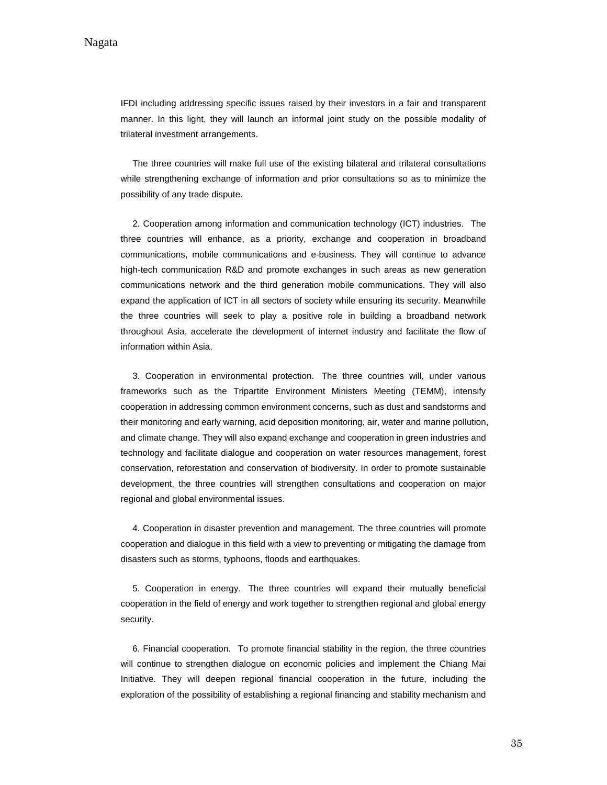IFDI including addressing specific issues raised by their investors in a fair and transparent manner. In this light, they will launch an informal joint study on the possible modality of trilateral investment arrangements.

The three countries will make full use of the existing bilateral and trilateral consultations while strengthening exchange of information and prior consultations so as to minimize the possibility of any trade dispute.

2. Cooperation among information and communication technology (ICT) industries. The three countries will enhance, as a priority, exchange and cooperation in broadband communications, mobile communications and e-business. They will continue to advance high-tech communication R&D and promote exchanges in such areas as new generation communications network and the third generation mobile communications. They will also expand the application of ICT in all sectors of society while ensuring its security. Meanwhile the three countries will seek to play a positive role in building a broadband network throughout Asia, accelerate the development of internet industry and facilitate the flow of information within Asia.

3. Cooperation in environmental protection. The three countries will, under various frameworks such as the Tripartite Environment Ministers Meeting (TEMM), intensify cooperation in addressing common environment concerns, such as dust and sandstorms and their monitoring and early warning, acid deposition monitoring, air, water and marine pollution, and climate change. They will also expand exchange and cooperation in green industries and technology and facilitate dialogue and cooperation on water resources management, forest conservation, reforestation and conservation of biodiversity. In order to promote sustainable development, the three countries will strengthen consultations and cooperation on major regional and global environmental issues.

4. Cooperation in disaster prevention and management. The three countries will promote cooperation and dialogue in this field with a view to preventing or mitigating the damage from disasters such as storms, typhoons, floods and earthquakes.

5. Cooperation in energy. The three countries will expand their mutually beneficial cooperation in the field of energy and work together to strengthen regional and global energy security.

6. Financial cooperation. To promote financial stability in the region, the three countries will continue to strengthen dialogue on economic policies and implement the Chiang Mai Initiative. They will deepen regional financial cooperation in the future, including the exploration of the possibility of establishing a regional financing and stability mechanism and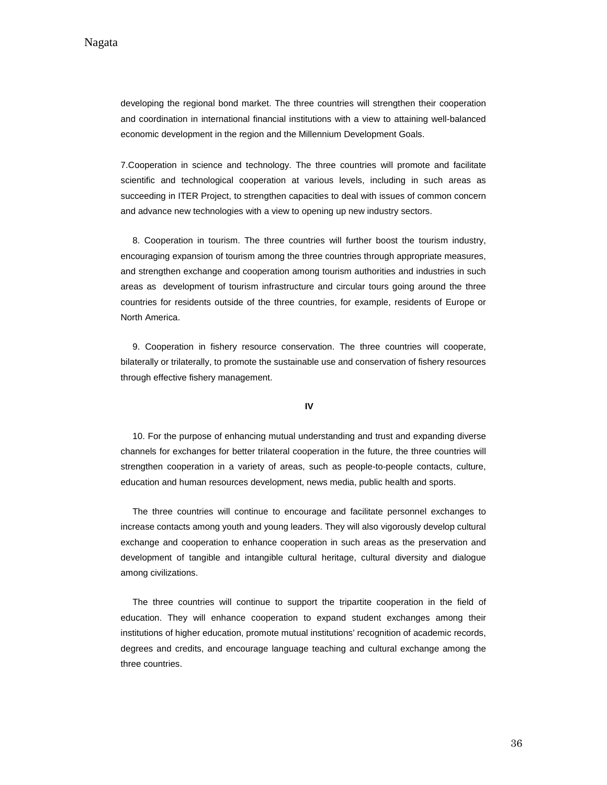developing the regional bond market. The three countries will strengthen their cooperation and coordination in international financial institutions with a view to attaining well-balanced economic development in the region and the Millennium Development Goals.

7.Cooperation in science and technology. The three countries will promote and facilitate scientific and technological cooperation at various levels, including in such areas as succeeding in ITER Project, to strengthen capacities to deal with issues of common concern and advance new technologies with a view to opening up new industry sectors.

8. Cooperation in tourism. The three countries will further boost the tourism industry, encouraging expansion of tourism among the three countries through appropriate measures, and strengthen exchange and cooperation among tourism authorities and industries in such areas as development of tourism infrastructure and circular tours going around the three countries for residents outside of the three countries, for example, residents of Europe or North America.

9. Cooperation in fishery resource conservation. The three countries will cooperate, bilaterally or trilaterally, to promote the sustainable use and conservation of fishery resources through effective fishery management.

#### **IV**

10. For the purpose of enhancing mutual understanding and trust and expanding diverse channels for exchanges for better trilateral cooperation in the future, the three countries will strengthen cooperation in a variety of areas, such as people-to-people contacts, culture, education and human resources development, news media, public health and sports.

The three countries will continue to encourage and facilitate personnel exchanges to increase contacts among youth and young leaders. They will also vigorously develop cultural exchange and cooperation to enhance cooperation in such areas as the preservation and development of tangible and intangible cultural heritage, cultural diversity and dialogue among civilizations.

The three countries will continue to support the tripartite cooperation in the field of education. They will enhance cooperation to expand student exchanges among their institutions of higher education, promote mutual institutions' recognition of academic records, degrees and credits, and encourage language teaching and cultural exchange among the three countries.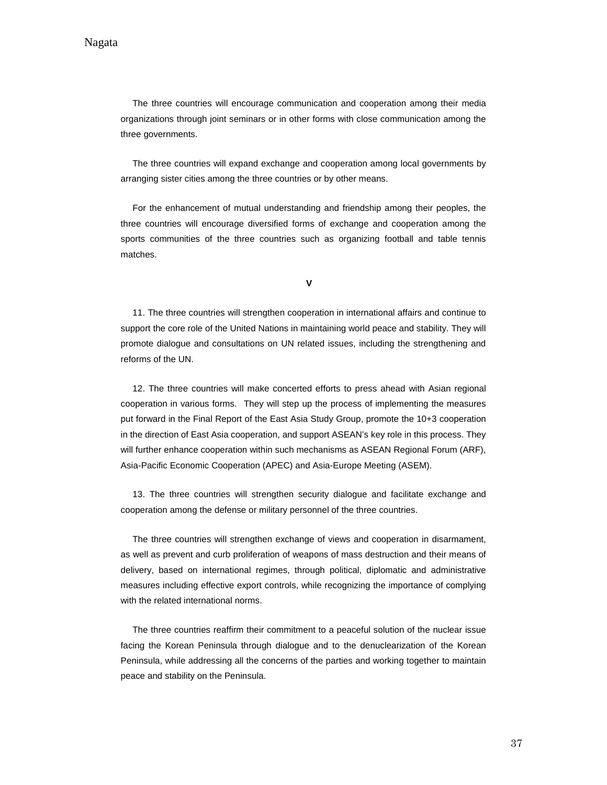The three countries will encourage communication and cooperation among their media organizations through joint seminars or in other forms with close communication among the three governments.

The three countries will expand exchange and cooperation among local governments by arranging sister cities among the three countries or by other means.

For the enhancement of mutual understanding and friendship among their peoples, the three countries will encourage diversified forms of exchange and cooperation among the sports communities of the three countries such as organizing football and table tennis matches.

**V**

11. The three countries will strengthen cooperation in international affairs and continue to support the core role of the United Nations in maintaining world peace and stability. They will promote dialogue and consultations on UN related issues, including the strengthening and reforms of the UN.

12. The three countries will make concerted efforts to press ahead with Asian regional cooperation in various forms. They will step up the process of implementing the measures put forward in the Final Report of the East Asia Study Group, promote the 10+3 cooperation in the direction of East Asia cooperation, and support ASEAN's key role in this process. They will further enhance cooperation within such mechanisms as ASEAN Regional Forum (ARF), Asia-Pacific Economic Cooperation (APEC) and Asia-Europe Meeting (ASEM).

13. The three countries will strengthen security dialogue and facilitate exchange and cooperation among the defense or military personnel of the three countries.

The three countries will strengthen exchange of views and cooperation in disarmament, as well as prevent and curb proliferation of weapons of mass destruction and their means of delivery, based on international regimes, through political, diplomatic and administrative measures including effective export controls, while recognizing the importance of complying with the related international norms.

The three countries reaffirm their commitment to a peaceful solution of the nuclear issue facing the Korean Peninsula through dialogue and to the denuclearization of the Korean Peninsula, while addressing all the concerns of the parties and working together to maintain peace and stability on the Peninsula.

37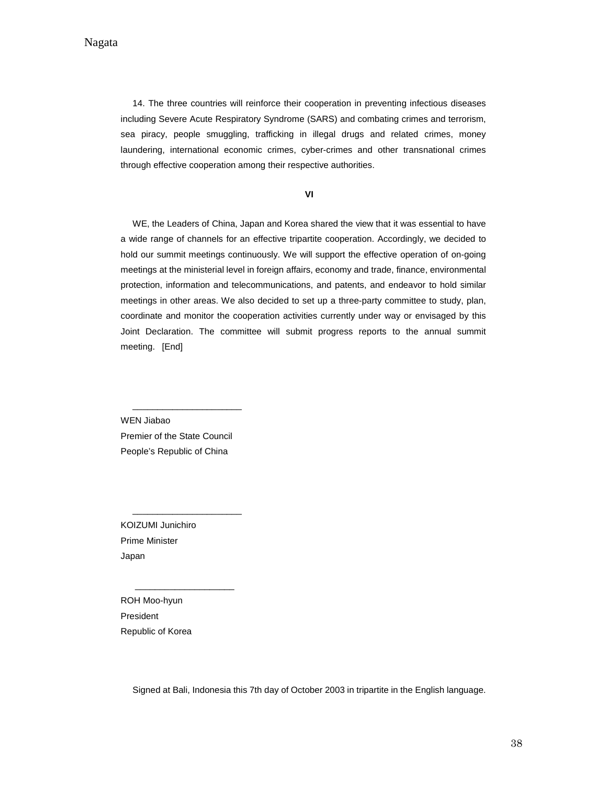14. The three countries will reinforce their cooperation in preventing infectious diseases including Severe Acute Respiratory Syndrome (SARS) and combating crimes and terrorism, sea piracy, people smuggling, trafficking in illegal drugs and related crimes, money laundering, international economic crimes, cyber-crimes and other transnational crimes through effective cooperation among their respective authorities.

**VI**

WE, the Leaders of China, Japan and Korea shared the view that it was essential to have a wide range of channels for an effective tripartite cooperation. Accordingly, we decided to hold our summit meetings continuously. We will support the effective operation of on-going meetings at the ministerial level in foreign affairs, economy and trade, finance, environmental protection, information and telecommunications, and patents, and endeavor to hold similar meetings in other areas. We also decided to set up a three-party committee to study, plan, coordinate and monitor the cooperation activities currently under way or envisaged by this Joint Declaration. The committee will submit progress reports to the annual summit meeting. [End]

WEN Jiabao Premier of the State Council People's Republic of China

\_\_\_\_\_\_\_\_\_\_\_\_\_\_\_\_\_\_\_\_\_\_

\_\_\_\_\_\_\_\_\_\_\_\_\_\_\_\_\_\_\_\_\_\_

 $\frac{1}{2}$  ,  $\frac{1}{2}$  ,  $\frac{1}{2}$  ,  $\frac{1}{2}$  ,  $\frac{1}{2}$  ,  $\frac{1}{2}$  ,  $\frac{1}{2}$  ,  $\frac{1}{2}$  ,  $\frac{1}{2}$  ,  $\frac{1}{2}$  ,  $\frac{1}{2}$  ,  $\frac{1}{2}$  ,  $\frac{1}{2}$  ,  $\frac{1}{2}$  ,  $\frac{1}{2}$  ,  $\frac{1}{2}$  ,  $\frac{1}{2}$  ,  $\frac{1}{2}$  ,  $\frac{1$ 

KOIZUMI Junichiro Prime Minister Japan

ROH Moo-hyun President Republic of Korea

Signed at Bali, Indonesia this 7th day of October 2003 in tripartite in the English language.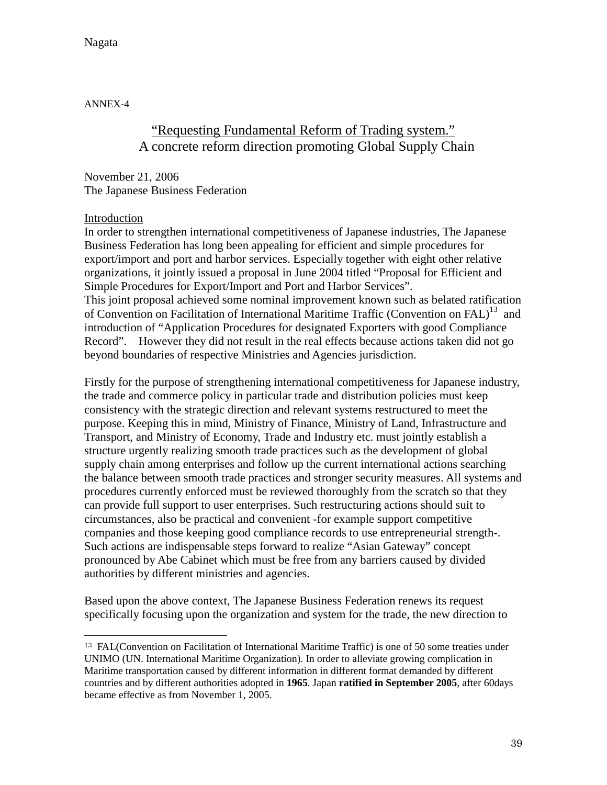Nagata

ANNEX-4

# "Requesting Fundamental Reform of Trading system." A concrete reform direction promoting Global Supply Chain

November 21, 2006 The Japanese Business Federation

#### Introduction

 $\overline{a}$ 

In order to strengthen international competitiveness of Japanese industries, The Japanese Business Federation has long been appealing for efficient and simple procedures for export/import and port and harbor services. Especially together with eight other relative organizations, it jointly issued a proposal in June 2004 titled "Proposal for Efficient and Simple Procedures for Export/Import and Port and Harbor Services".

This joint proposal achieved some nominal improvement known such as belated ratification of Convention on Facilitation of International Maritime Traffic (Convention on FAL)<sup>13</sup> and introduction of "Application Procedures for designated Exporters with good Compliance Record". However they did not result in the real effects because actions taken did not go beyond boundaries of respective Ministries and Agencies jurisdiction.

Firstly for the purpose of strengthening international competitiveness for Japanese industry, the trade and commerce policy in particular trade and distribution policies must keep consistency with the strategic direction and relevant systems restructured to meet the purpose. Keeping this in mind, Ministry of Finance, Ministry of Land, Infrastructure and Transport, and Ministry of Economy, Trade and Industry etc. must jointly establish a structure urgently realizing smooth trade practices such as the development of global supply chain among enterprises and follow up the current international actions searching the balance between smooth trade practices and stronger security measures. All systems and procedures currently enforced must be reviewed thoroughly from the scratch so that they can provide full support to user enterprises. Such restructuring actions should suit to circumstances, also be practical and convenient -for example support competitive companies and those keeping good compliance records to use entrepreneurial strength-. Such actions are indispensable steps forward to realize "Asian Gateway" concept pronounced by Abe Cabinet which must be free from any barriers caused by divided authorities by different ministries and agencies.

Based upon the above context, The Japanese Business Federation renews its request specifically focusing upon the organization and system for the trade, the new direction to

<sup>13</sup> FAL(Convention on Facilitation of International Maritime Traffic) is one of 50 some treaties under UNIMO (UN. International Maritime Organization). In order to alleviate growing complication in Maritime transportation caused by different information in different format demanded by different countries and by different authorities adopted in **1965**. Japan **ratified in September 2005**, after 60days became effective as from November 1, 2005.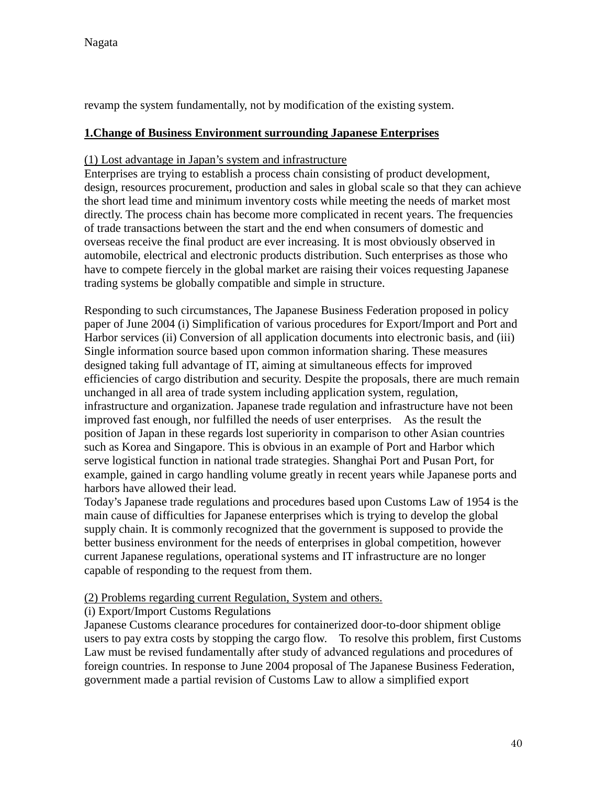revamp the system fundamentally, not by modification of the existing system.

#### **1.Change of Business Environment surrounding Japanese Enterprises**

#### (1) Lost advantage in Japan's system and infrastructure

Enterprises are trying to establish a process chain consisting of product development, design, resources procurement, production and sales in global scale so that they can achieve the short lead time and minimum inventory costs while meeting the needs of market most directly. The process chain has become more complicated in recent years. The frequencies of trade transactions between the start and the end when consumers of domestic and overseas receive the final product are ever increasing. It is most obviously observed in automobile, electrical and electronic products distribution. Such enterprises as those who have to compete fiercely in the global market are raising their voices requesting Japanese trading systems be globally compatible and simple in structure.

Responding to such circumstances, The Japanese Business Federation proposed in policy paper of June 2004 (i) Simplification of various procedures for Export/Import and Port and Harbor services (ii) Conversion of all application documents into electronic basis, and (iii) Single information source based upon common information sharing. These measures designed taking full advantage of IT, aiming at simultaneous effects for improved efficiencies of cargo distribution and security. Despite the proposals, there are much remain unchanged in all area of trade system including application system, regulation, infrastructure and organization. Japanese trade regulation and infrastructure have not been improved fast enough, nor fulfilled the needs of user enterprises. As the result the position of Japan in these regards lost superiority in comparison to other Asian countries such as Korea and Singapore. This is obvious in an example of Port and Harbor which serve logistical function in national trade strategies. Shanghai Port and Pusan Port, for example, gained in cargo handling volume greatly in recent years while Japanese ports and harbors have allowed their lead.

Today's Japanese trade regulations and procedures based upon Customs Law of 1954 is the main cause of difficulties for Japanese enterprises which is trying to develop the global supply chain. It is commonly recognized that the government is supposed to provide the better business environment for the needs of enterprises in global competition, however current Japanese regulations, operational systems and IT infrastructure are no longer capable of responding to the request from them.

#### (2) Problems regarding current Regulation, System and others.

#### (i) Export/Import Customs Regulations

Japanese Customs clearance procedures for containerized door-to-door shipment oblige users to pay extra costs by stopping the cargo flow. To resolve this problem, first Customs Law must be revised fundamentally after study of advanced regulations and procedures of foreign countries. In response to June 2004 proposal of The Japanese Business Federation, government made a partial revision of Customs Law to allow a simplified export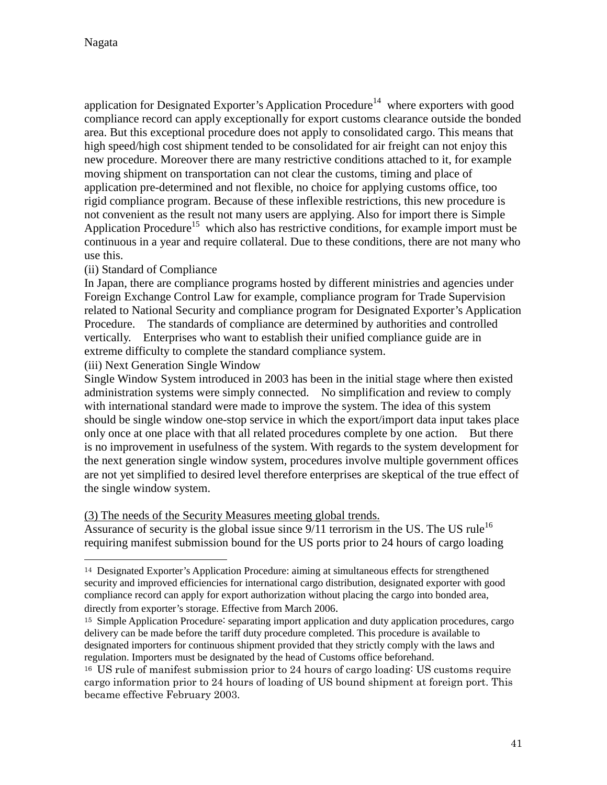$\overline{a}$ 

application for Designated Exporter's Application Procedure<sup>14</sup> where exporters with good compliance record can apply exceptionally for export customs clearance outside the bonded area. But this exceptional procedure does not apply to consolidated cargo. This means that high speed/high cost shipment tended to be consolidated for air freight can not enjoy this new procedure. Moreover there are many restrictive conditions attached to it, for example moving shipment on transportation can not clear the customs, timing and place of application pre-determined and not flexible, no choice for applying customs office, too rigid compliance program. Because of these inflexible restrictions, this new procedure is not convenient as the result not many users are applying. Also for import there is Simple Application Procedure<sup>15</sup> which also has restrictive conditions, for example import must be continuous in a year and require collateral. Due to these conditions, there are not many who use this.

#### (ii) Standard of Compliance

In Japan, there are compliance programs hosted by different ministries and agencies under Foreign Exchange Control Law for example, compliance program for Trade Supervision related to National Security and compliance program for Designated Exporter's Application Procedure. The standards of compliance are determined by authorities and controlled vertically. Enterprises who want to establish their unified compliance guide are in extreme difficulty to complete the standard compliance system.

(iii) Next Generation Single Window

Single Window System introduced in 2003 has been in the initial stage where then existed administration systems were simply connected. No simplification and review to comply with international standard were made to improve the system. The idea of this system should be single window one-stop service in which the export/import data input takes place only once at one place with that all related procedures complete by one action. But there is no improvement in usefulness of the system. With regards to the system development for the next generation single window system, procedures involve multiple government offices are not yet simplified to desired level therefore enterprises are skeptical of the true effect of the single window system.

(3) The needs of the Security Measures meeting global trends.

Assurance of security is the global issue since  $9/11$  terrorism in the US. The US rule<sup>16</sup> requiring manifest submission bound for the US ports prior to 24 hours of cargo loading

<sup>14</sup> Designated Exporter's Application Procedure: aiming at simultaneous effects for strengthened security and improved efficiencies for international cargo distribution, designated exporter with good compliance record can apply for export authorization without placing the cargo into bonded area, directly from exporter's storage. Effective from March 2006.

<sup>15</sup> Simple Application Procedure: separating import application and duty application procedures, cargo delivery can be made before the tariff duty procedure completed. This procedure is available to designated importers for continuous shipment provided that they strictly comply with the laws and regulation. Importers must be designated by the head of Customs office beforehand.

<sup>16</sup> US rule of manifest submission prior to 24 hours of cargo loading: US customs require cargo information prior to 24 hours of loading of US bound shipment at foreign port. This became effective February 2003.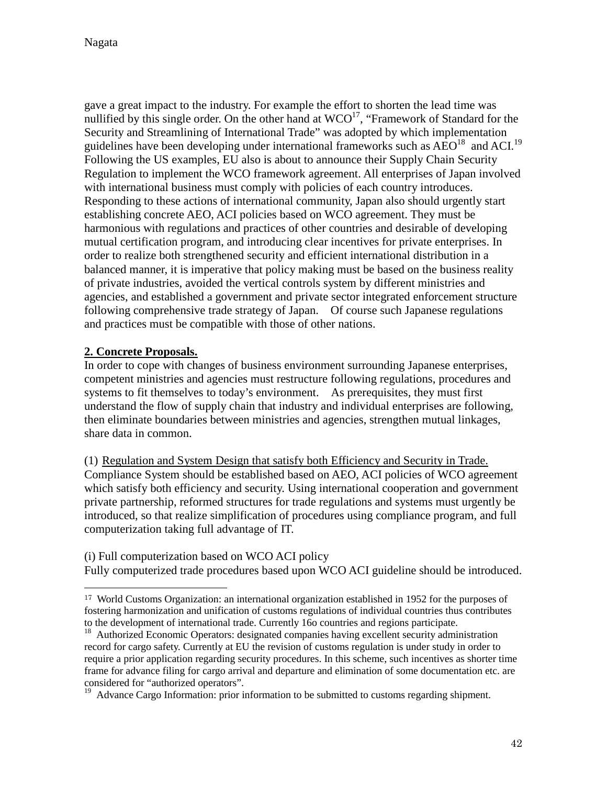Nagata

gave a great impact to the industry. For example the effort to shorten the lead time was nullified by this single order. On the other hand at  $WCO^{17}$ , "Framework of Standard for the Security and Streamlining of International Trade" was adopted by which implementation guidelines have been developing under international frameworks such as  $AEO^{18}$  and  $ACl^{19}$ . Following the US examples, EU also is about to announce their Supply Chain Security Regulation to implement the WCO framework agreement. All enterprises of Japan involved with international business must comply with policies of each country introduces. Responding to these actions of international community, Japan also should urgently start establishing concrete AEO, ACI policies based on WCO agreement. They must be harmonious with regulations and practices of other countries and desirable of developing mutual certification program, and introducing clear incentives for private enterprises. In order to realize both strengthened security and efficient international distribution in a balanced manner, it is imperative that policy making must be based on the business reality of private industries, avoided the vertical controls system by different ministries and agencies, and established a government and private sector integrated enforcement structure following comprehensive trade strategy of Japan. Of course such Japanese regulations and practices must be compatible with those of other nations.

#### **2. Concrete Proposals.**

In order to cope with changes of business environment surrounding Japanese enterprises, competent ministries and agencies must restructure following regulations, procedures and systems to fit themselves to today's environment. As prerequisites, they must first understand the flow of supply chain that industry and individual enterprises are following, then eliminate boundaries between ministries and agencies, strengthen mutual linkages, share data in common.

(1) Regulation and System Design that satisfy both Efficiency and Security in Trade. Compliance System should be established based on AEO, ACI policies of WCO agreement which satisfy both efficiency and security. Using international cooperation and government private partnership, reformed structures for trade regulations and systems must urgently be introduced, so that realize simplification of procedures using compliance program, and full computerization taking full advantage of IT.

(i) Full computerization based on WCO ACI policy Fully computerized trade procedures based upon WCO ACI guideline should be introduced.

<sup>&</sup>lt;sup>17</sup> World Customs Organization: an international organization established in 1952 for the purposes of fostering harmonization and unification of customs regulations of individual countries thus contributes to the development of international trade. Currently 16o countries and regions participate.<br><sup>18</sup> Authorized Economic Operators: <sup>15</sup>

<sup>18</sup> Authorized Economic Operators: designated companies having excellent security administration record for cargo safety. Currently at EU the revision of customs regulation is under study in order to require a prior application regarding security procedures. In this scheme, such incentives as shorter time frame for advance filing for cargo arrival and departure and elimination of some documentation etc. are considered for "authorized operators".

<sup>&</sup>lt;sup>19</sup> Advance Cargo Information: prior information to be submitted to customs regarding shipment.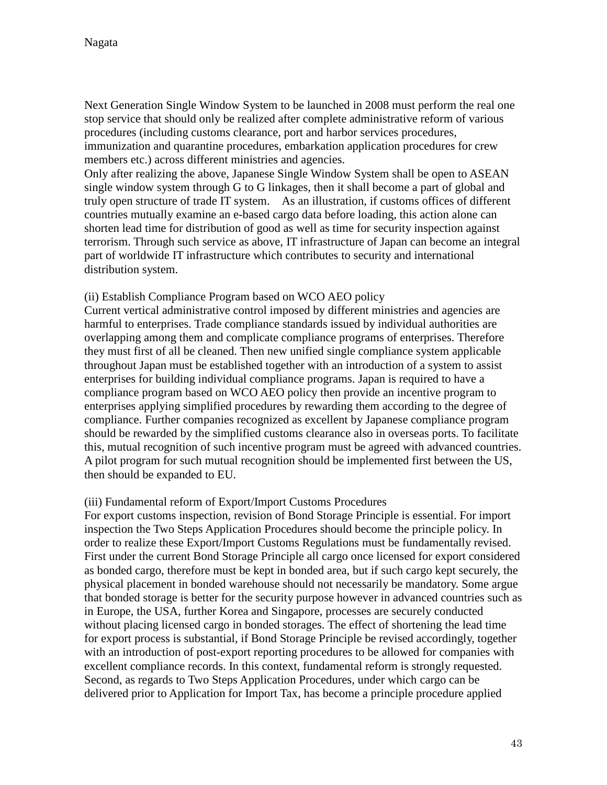Next Generation Single Window System to be launched in 2008 must perform the real one stop service that should only be realized after complete administrative reform of various procedures (including customs clearance, port and harbor services procedures, immunization and quarantine procedures, embarkation application procedures for crew members etc.) across different ministries and agencies.

Only after realizing the above, Japanese Single Window System shall be open to ASEAN single window system through G to G linkages, then it shall become a part of global and truly open structure of trade IT system. As an illustration, if customs offices of different countries mutually examine an e-based cargo data before loading, this action alone can shorten lead time for distribution of good as well as time for security inspection against terrorism. Through such service as above, IT infrastructure of Japan can become an integral part of worldwide IT infrastructure which contributes to security and international distribution system.

#### (ii) Establish Compliance Program based on WCO AEO policy

Current vertical administrative control imposed by different ministries and agencies are harmful to enterprises. Trade compliance standards issued by individual authorities are overlapping among them and complicate compliance programs of enterprises. Therefore they must first of all be cleaned. Then new unified single compliance system applicable throughout Japan must be established together with an introduction of a system to assist enterprises for building individual compliance programs. Japan is required to have a compliance program based on WCO AEO policy then provide an incentive program to enterprises applying simplified procedures by rewarding them according to the degree of compliance. Further companies recognized as excellent by Japanese compliance program should be rewarded by the simplified customs clearance also in overseas ports. To facilitate this, mutual recognition of such incentive program must be agreed with advanced countries. A pilot program for such mutual recognition should be implemented first between the US, then should be expanded to EU.

#### (iii) Fundamental reform of Export/Import Customs Procedures

For export customs inspection, revision of Bond Storage Principle is essential. For import inspection the Two Steps Application Procedures should become the principle policy. In order to realize these Export/Import Customs Regulations must be fundamentally revised. First under the current Bond Storage Principle all cargo once licensed for export considered as bonded cargo, therefore must be kept in bonded area, but if such cargo kept securely, the physical placement in bonded warehouse should not necessarily be mandatory. Some argue that bonded storage is better for the security purpose however in advanced countries such as in Europe, the USA, further Korea and Singapore, processes are securely conducted without placing licensed cargo in bonded storages. The effect of shortening the lead time for export process is substantial, if Bond Storage Principle be revised accordingly, together with an introduction of post-export reporting procedures to be allowed for companies with excellent compliance records. In this context, fundamental reform is strongly requested. Second, as regards to Two Steps Application Procedures, under which cargo can be delivered prior to Application for Import Tax, has become a principle procedure applied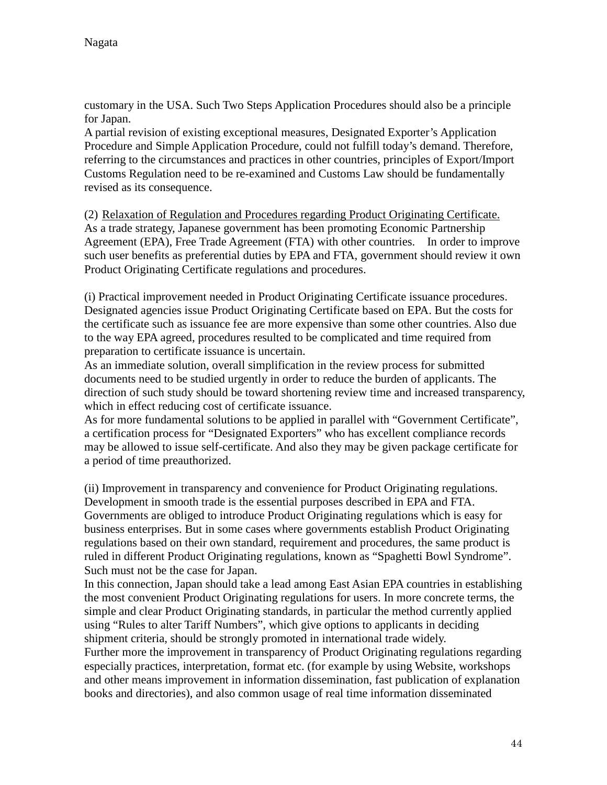customary in the USA. Such Two Steps Application Procedures should also be a principle for Japan.

A partial revision of existing exceptional measures, Designated Exporter's Application Procedure and Simple Application Procedure, could not fulfill today's demand. Therefore, referring to the circumstances and practices in other countries, principles of Export/Import Customs Regulation need to be re-examined and Customs Law should be fundamentally revised as its consequence.

(2) Relaxation of Regulation and Procedures regarding Product Originating Certificate. As a trade strategy, Japanese government has been promoting Economic Partnership Agreement (EPA), Free Trade Agreement (FTA) with other countries. In order to improve such user benefits as preferential duties by EPA and FTA, government should review it own Product Originating Certificate regulations and procedures.

(i) Practical improvement needed in Product Originating Certificate issuance procedures. Designated agencies issue Product Originating Certificate based on EPA. But the costs for the certificate such as issuance fee are more expensive than some other countries. Also due to the way EPA agreed, procedures resulted to be complicated and time required from preparation to certificate issuance is uncertain.

As an immediate solution, overall simplification in the review process for submitted documents need to be studied urgently in order to reduce the burden of applicants. The direction of such study should be toward shortening review time and increased transparency, which in effect reducing cost of certificate issuance.

As for more fundamental solutions to be applied in parallel with "Government Certificate", a certification process for "Designated Exporters" who has excellent compliance records may be allowed to issue self-certificate. And also they may be given package certificate for a period of time preauthorized.

(ii) Improvement in transparency and convenience for Product Originating regulations. Development in smooth trade is the essential purposes described in EPA and FTA. Governments are obliged to introduce Product Originating regulations which is easy for business enterprises. But in some cases where governments establish Product Originating regulations based on their own standard, requirement and procedures, the same product is ruled in different Product Originating regulations, known as "Spaghetti Bowl Syndrome". Such must not be the case for Japan.

In this connection, Japan should take a lead among East Asian EPA countries in establishing the most convenient Product Originating regulations for users. In more concrete terms, the simple and clear Product Originating standards, in particular the method currently applied using "Rules to alter Tariff Numbers", which give options to applicants in deciding shipment criteria, should be strongly promoted in international trade widely.

Further more the improvement in transparency of Product Originating regulations regarding especially practices, interpretation, format etc. (for example by using Website, workshops and other means improvement in information dissemination, fast publication of explanation books and directories), and also common usage of real time information disseminated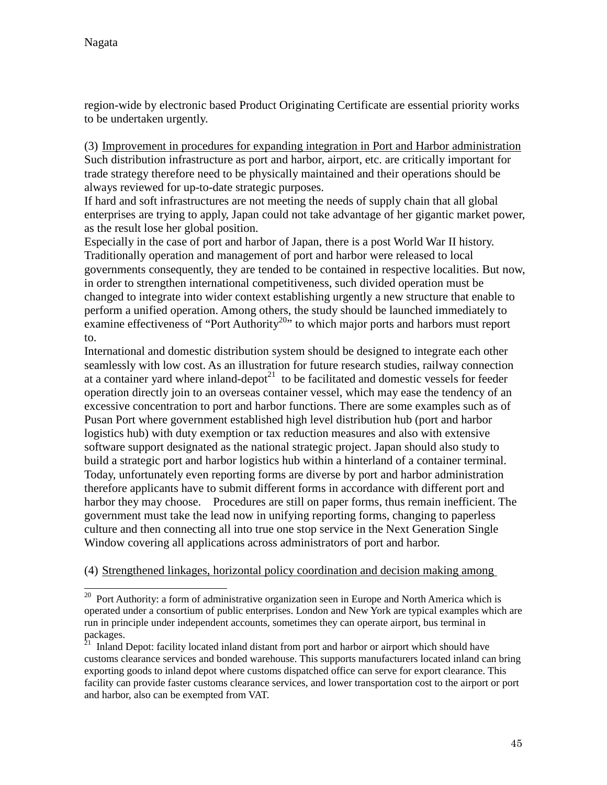$\overline{a}$ 

region-wide by electronic based Product Originating Certificate are essential priority works to be undertaken urgently.

(3) Improvement in procedures for expanding integration in Port and Harbor administration Such distribution infrastructure as port and harbor, airport, etc. are critically important for trade strategy therefore need to be physically maintained and their operations should be always reviewed for up-to-date strategic purposes.

If hard and soft infrastructures are not meeting the needs of supply chain that all global enterprises are trying to apply, Japan could not take advantage of her gigantic market power, as the result lose her global position.

Especially in the case of port and harbor of Japan, there is a post World War II history. Traditionally operation and management of port and harbor were released to local governments consequently, they are tended to be contained in respective localities. But now, in order to strengthen international competitiveness, such divided operation must be changed to integrate into wider context establishing urgently a new structure that enable to perform a unified operation. Among others, the study should be launched immediately to examine effectiveness of "Port Authority<sup>20</sup>" to which major ports and harbors must report to.

International and domestic distribution system should be designed to integrate each other seamlessly with low cost. As an illustration for future research studies, railway connection at a container yard where inland-depot<sup>21</sup> to be facilitated and domestic vessels for feeder operation directly join to an overseas container vessel, which may ease the tendency of an excessive concentration to port and harbor functions. There are some examples such as of Pusan Port where government established high level distribution hub (port and harbor logistics hub) with duty exemption or tax reduction measures and also with extensive software support designated as the national strategic project. Japan should also study to build a strategic port and harbor logistics hub within a hinterland of a container terminal. Today, unfortunately even reporting forms are diverse by port and harbor administration therefore applicants have to submit different forms in accordance with different port and harbor they may choose. Procedures are still on paper forms, thus remain inefficient. The government must take the lead now in unifying reporting forms, changing to paperless culture and then connecting all into true one stop service in the Next Generation Single Window covering all applications across administrators of port and harbor.

#### (4) Strengthened linkages, horizontal policy coordination and decision making among

<sup>&</sup>lt;sup>20</sup> Port Authority: a form of administrative organization seen in Europe and North America which is operated under a consortium of public enterprises. London and New York are typical examples which are run in principle under independent accounts, sometimes they can operate airport, bus terminal in packages.

<sup>21</sup> Inland Depot: facility located inland distant from port and harbor or airport which should have customs clearance services and bonded warehouse. This supports manufacturers located inland can bring exporting goods to inland depot where customs dispatched office can serve for export clearance. This facility can provide faster customs clearance services, and lower transportation cost to the airport or port and harbor, also can be exempted from VAT.